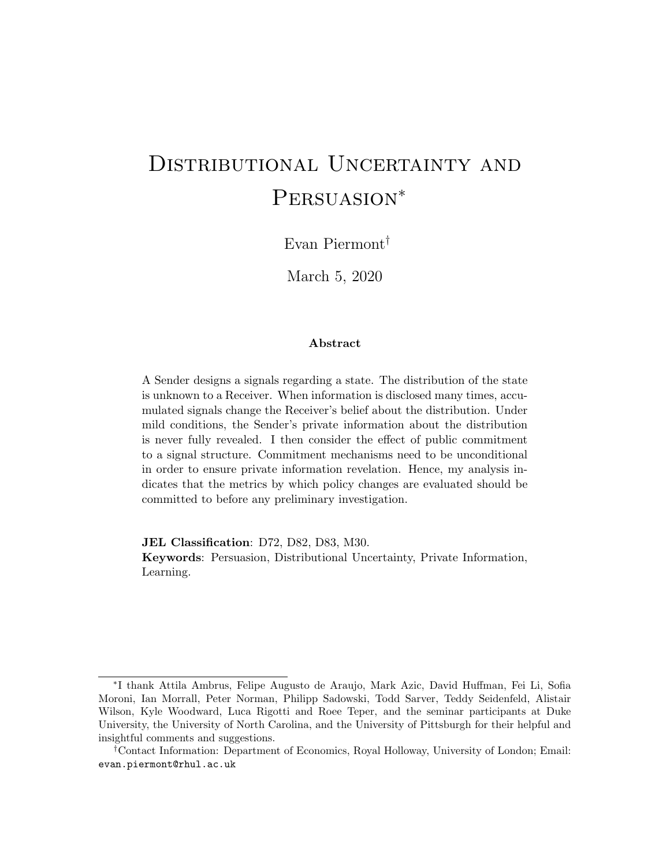# DISTRIBUTIONAL UNCERTAINTY AND PERSUASION<sup>\*</sup>

Evan Piermont†

March 5, 2020

## Abstract

A Sender designs a signals regarding a state. The distribution of the state is unknown to a Receiver. When information is disclosed many times, accumulated signals change the Receiver's belief about the distribution. Under mild conditions, the Sender's private information about the distribution is never fully revealed. I then consider the effect of public commitment to a signal structure. Commitment mechanisms need to be unconditional in order to ensure private information revelation. Hence, my analysis indicates that the metrics by which policy changes are evaluated should be committed to before any preliminary investigation.

JEL Classification: D72, D82, D83, M30.

Keywords: Persuasion, Distributional Uncertainty, Private Information, Learning.

<sup>∗</sup> I thank Attila Ambrus, Felipe Augusto de Araujo, Mark Azic, David Huffman, Fei Li, Sofia Moroni, Ian Morrall, Peter Norman, Philipp Sadowski, Todd Sarver, Teddy Seidenfeld, Alistair Wilson, Kyle Woodward, Luca Rigotti and Roee Teper, and the seminar participants at Duke University, the University of North Carolina, and the University of Pittsburgh for their helpful and insightful comments and suggestions.

<sup>†</sup>Contact Information: Department of Economics, Royal Holloway, University of London; Email: evan.piermont@rhul.ac.uk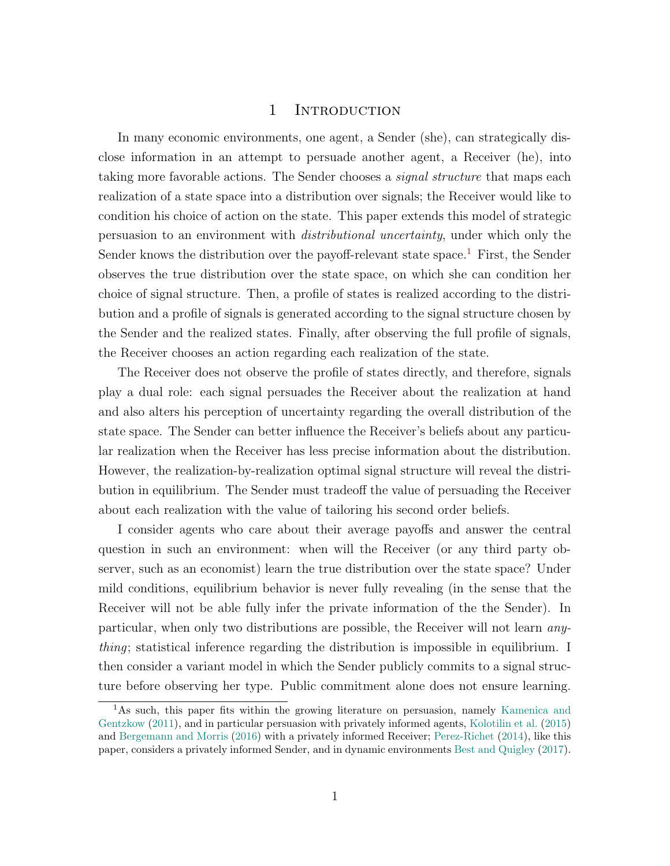# 1 INTRODUCTION

In many economic environments, one agent, a Sender (she), can strategically disclose information in an attempt to persuade another agent, a Receiver (he), into taking more favorable actions. The Sender chooses a *signal structure* that maps each realization of a state space into a distribution over signals; the Receiver would like to condition his choice of action on the state. This paper extends this model of strategic persuasion to an environment with distributional uncertainty, under which only the Sender knows the distribution over the payoff-relevant state space.<sup>[1](#page-1-0)</sup> First, the Sender observes the true distribution over the state space, on which she can condition her choice of signal structure. Then, a profile of states is realized according to the distribution and a profile of signals is generated according to the signal structure chosen by the Sender and the realized states. Finally, after observing the full profile of signals, the Receiver chooses an action regarding each realization of the state.

The Receiver does not observe the profile of states directly, and therefore, signals play a dual role: each signal persuades the Receiver about the realization at hand and also alters his perception of uncertainty regarding the overall distribution of the state space. The Sender can better influence the Receiver's beliefs about any particular realization when the Receiver has less precise information about the distribution. However, the realization-by-realization optimal signal structure will reveal the distribution in equilibrium. The Sender must tradeoff the value of persuading the Receiver about each realization with the value of tailoring his second order beliefs.

I consider agents who care about their average payoffs and answer the central question in such an environment: when will the Receiver (or any third party observer, such as an economist) learn the true distribution over the state space? Under mild conditions, equilibrium behavior is never fully revealing (in the sense that the Receiver will not be able fully infer the private information of the the Sender). In particular, when only two distributions are possible, the Receiver will not learn anything; statistical inference regarding the distribution is impossible in equilibrium. I then consider a variant model in which the Sender publicly commits to a signal structure before observing her type. Public commitment alone does not ensure learning.

<span id="page-1-0"></span><sup>&</sup>lt;sup>1</sup>As such, this paper fits within the growing literature on persuasion, namely [Kamenica and](#page-35-0) [Gentzkow](#page-35-0) [\(2011\)](#page-35-0), and in particular persuasion with privately informed agents, [Kolotilin et al.](#page-35-1) [\(2015\)](#page-35-1) and [Bergemann and Morris](#page-35-2) [\(2016\)](#page-35-2) with a privately informed Receiver; [Perez-Richet](#page-35-3) [\(2014\)](#page-35-3), like this paper, considers a privately informed Sender, and in dynamic environments [Best and Quigley](#page-35-4) [\(2017\)](#page-35-4).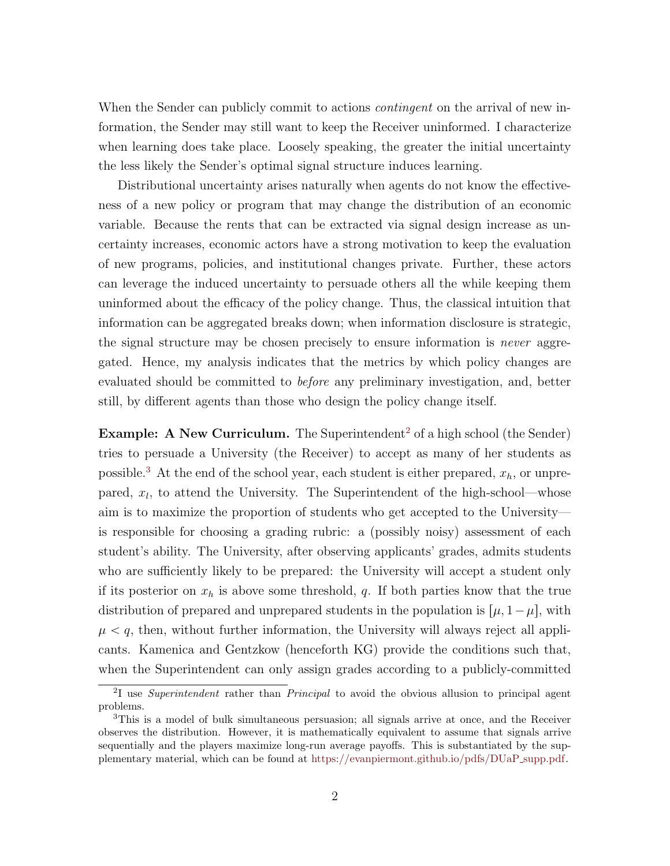When the Sender can publicly commit to actions *contingent* on the arrival of new information, the Sender may still want to keep the Receiver uninformed. I characterize when learning does take place. Loosely speaking, the greater the initial uncertainty the less likely the Sender's optimal signal structure induces learning.

Distributional uncertainty arises naturally when agents do not know the effectiveness of a new policy or program that may change the distribution of an economic variable. Because the rents that can be extracted via signal design increase as uncertainty increases, economic actors have a strong motivation to keep the evaluation of new programs, policies, and institutional changes private. Further, these actors can leverage the induced uncertainty to persuade others all the while keeping them uninformed about the efficacy of the policy change. Thus, the classical intuition that information can be aggregated breaks down; when information disclosure is strategic, the signal structure may be chosen precisely to ensure information is *never* aggregated. Hence, my analysis indicates that the metrics by which policy changes are evaluated should be committed to before any preliminary investigation, and, better still, by different agents than those who design the policy change itself.

**Example:** A New Curriculum. The Superintendent<sup>[2](#page-2-0)</sup> of a high school (the Sender) tries to persuade a University (the Receiver) to accept as many of her students as possible.<sup>[3](#page-2-1)</sup> At the end of the school year, each student is either prepared,  $x_h$ , or unprepared,  $x_l$ , to attend the University. The Superintendent of the high-school—whose aim is to maximize the proportion of students who get accepted to the University is responsible for choosing a grading rubric: a (possibly noisy) assessment of each student's ability. The University, after observing applicants' grades, admits students who are sufficiently likely to be prepared: the University will accept a student only if its posterior on  $x_h$  is above some threshold, q. If both parties know that the true distribution of prepared and unprepared students in the population is  $[\mu, 1-\mu]$ , with  $\mu < q$ , then, without further information, the University will always reject all applicants. Kamenica and Gentzkow (henceforth KG) provide the conditions such that, when the Superintendent can only assign grades according to a publicly-committed

<span id="page-2-0"></span><sup>&</sup>lt;sup>2</sup>I use Superintendent rather than Principal to avoid the obvious allusion to principal agent problems.

<span id="page-2-1"></span><sup>3</sup>This is a model of bulk simultaneous persuasion; all signals arrive at once, and the Receiver observes the distribution. However, it is mathematically equivalent to assume that signals arrive sequentially and the players maximize long-run average payoffs. This is substantiated by the supplementary material, which can be found at [https://evanpiermont.github.io/pdfs/DUaP](https://evanpiermont.github.io/pdfs/DUaP_supp.pdf) supp.pdf.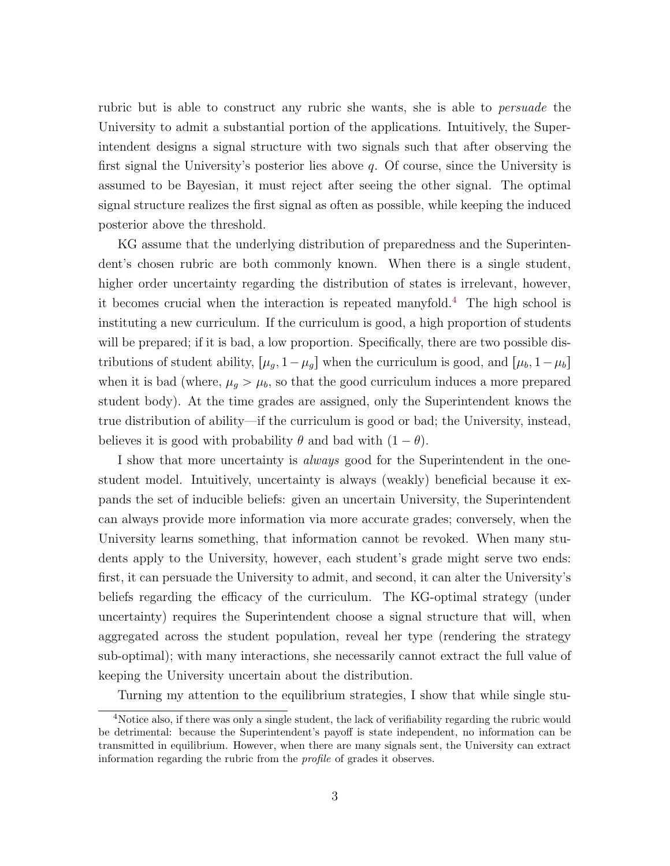rubric but is able to construct any rubric she wants, she is able to *persuade* the University to admit a substantial portion of the applications. Intuitively, the Superintendent designs a signal structure with two signals such that after observing the first signal the University's posterior lies above q. Of course, since the University is assumed to be Bayesian, it must reject after seeing the other signal. The optimal signal structure realizes the first signal as often as possible, while keeping the induced posterior above the threshold.

KG assume that the underlying distribution of preparedness and the Superintendent's chosen rubric are both commonly known. When there is a single student, higher order uncertainty regarding the distribution of states is irrelevant, however, it becomes crucial when the interaction is repeated manyfold.<sup>[4](#page-3-0)</sup> The high school is instituting a new curriculum. If the curriculum is good, a high proportion of students will be prepared; if it is bad, a low proportion. Specifically, there are two possible distributions of student ability,  $\mu_g$ ,  $1-\mu_g$  when the curriculum is good, and  $\mu_b$ ,  $1-\mu_b$ when it is bad (where,  $\mu_g > \mu_b$ , so that the good curriculum induces a more prepared student body). At the time grades are assigned, only the Superintendent knows the true distribution of ability—if the curriculum is good or bad; the University, instead, believes it is good with probability  $\theta$  and bad with  $(1 - \theta)$ .

I show that more uncertainty is always good for the Superintendent in the onestudent model. Intuitively, uncertainty is always (weakly) beneficial because it expands the set of inducible beliefs: given an uncertain University, the Superintendent can always provide more information via more accurate grades; conversely, when the University learns something, that information cannot be revoked. When many students apply to the University, however, each student's grade might serve two ends: first, it can persuade the University to admit, and second, it can alter the University's beliefs regarding the efficacy of the curriculum. The KG-optimal strategy (under uncertainty) requires the Superintendent choose a signal structure that will, when aggregated across the student population, reveal her type (rendering the strategy sub-optimal); with many interactions, she necessarily cannot extract the full value of keeping the University uncertain about the distribution.

<span id="page-3-0"></span>Turning my attention to the equilibrium strategies, I show that while single stu-

<sup>4</sup>Notice also, if there was only a single student, the lack of verifiability regarding the rubric would be detrimental: because the Superintendent's payoff is state independent, no information can be transmitted in equilibrium. However, when there are many signals sent, the University can extract information regarding the rubric from the profile of grades it observes.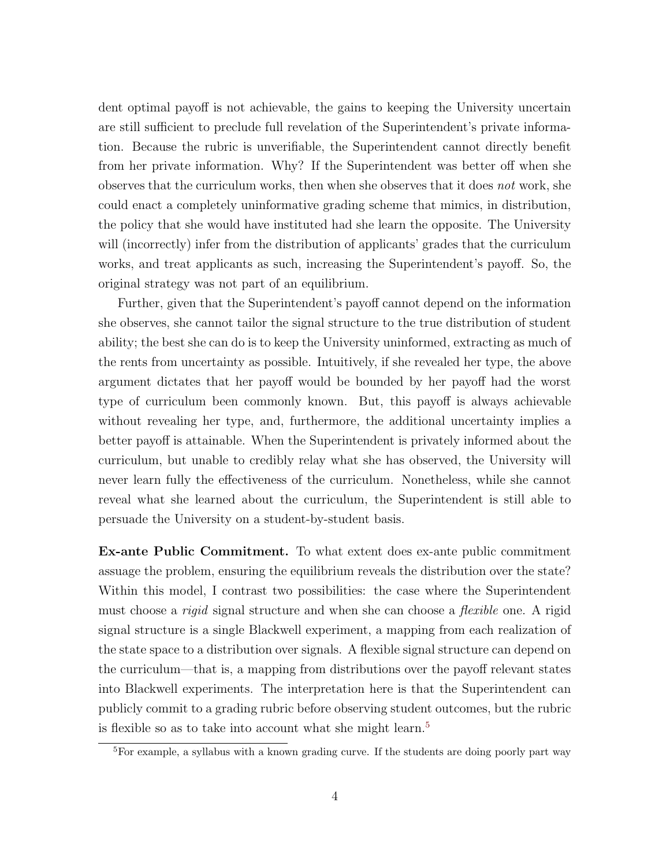dent optimal payoff is not achievable, the gains to keeping the University uncertain are still sufficient to preclude full revelation of the Superintendent's private information. Because the rubric is unverifiable, the Superintendent cannot directly benefit from her private information. Why? If the Superintendent was better off when she observes that the curriculum works, then when she observes that it does not work, she could enact a completely uninformative grading scheme that mimics, in distribution, the policy that she would have instituted had she learn the opposite. The University will (incorrectly) infer from the distribution of applicants' grades that the curriculum works, and treat applicants as such, increasing the Superintendent's payoff. So, the original strategy was not part of an equilibrium.

Further, given that the Superintendent's payoff cannot depend on the information she observes, she cannot tailor the signal structure to the true distribution of student ability; the best she can do is to keep the University uninformed, extracting as much of the rents from uncertainty as possible. Intuitively, if she revealed her type, the above argument dictates that her payoff would be bounded by her payoff had the worst type of curriculum been commonly known. But, this payoff is always achievable without revealing her type, and, furthermore, the additional uncertainty implies a better payoff is attainable. When the Superintendent is privately informed about the curriculum, but unable to credibly relay what she has observed, the University will never learn fully the effectiveness of the curriculum. Nonetheless, while she cannot reveal what she learned about the curriculum, the Superintendent is still able to persuade the University on a student-by-student basis.

Ex-ante Public Commitment. To what extent does ex-ante public commitment assuage the problem, ensuring the equilibrium reveals the distribution over the state? Within this model, I contrast two possibilities: the case where the Superintendent must choose a *rigid* signal structure and when she can choose a *flexible* one. A rigid signal structure is a single Blackwell experiment, a mapping from each realization of the state space to a distribution over signals. A flexible signal structure can depend on the curriculum—that is, a mapping from distributions over the payoff relevant states into Blackwell experiments. The interpretation here is that the Superintendent can publicly commit to a grading rubric before observing student outcomes, but the rubric is flexible so as to take into account what she might learn.<sup>[5](#page-4-0)</sup>

<span id="page-4-0"></span><sup>&</sup>lt;sup>5</sup>For example, a syllabus with a known grading curve. If the students are doing poorly part way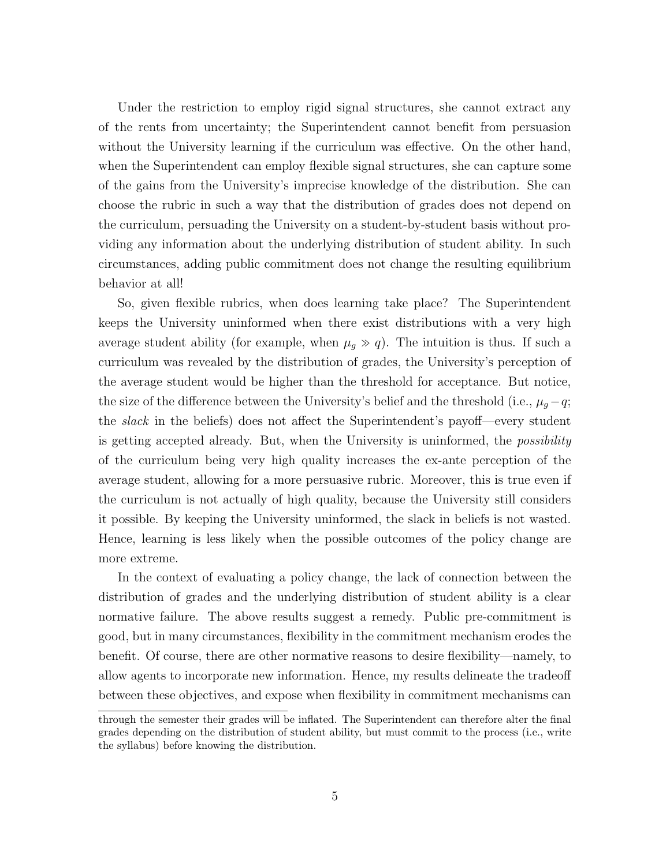Under the restriction to employ rigid signal structures, she cannot extract any of the rents from uncertainty; the Superintendent cannot benefit from persuasion without the University learning if the curriculum was effective. On the other hand, when the Superintendent can employ flexible signal structures, she can capture some of the gains from the University's imprecise knowledge of the distribution. She can choose the rubric in such a way that the distribution of grades does not depend on the curriculum, persuading the University on a student-by-student basis without providing any information about the underlying distribution of student ability. In such circumstances, adding public commitment does not change the resulting equilibrium behavior at all!

So, given flexible rubrics, when does learning take place? The Superintendent keeps the University uninformed when there exist distributions with a very high average student ability (for example, when  $\mu_g \gg q$ ). The intuition is thus. If such a curriculum was revealed by the distribution of grades, the University's perception of the average student would be higher than the threshold for acceptance. But notice, the size of the difference between the University's belief and the threshold (i.e.,  $\mu_q - q$ ; the slack in the beliefs) does not affect the Superintendent's payoff—every student is getting accepted already. But, when the University is uninformed, the *possibility* of the curriculum being very high quality increases the ex-ante perception of the average student, allowing for a more persuasive rubric. Moreover, this is true even if the curriculum is not actually of high quality, because the University still considers it possible. By keeping the University uninformed, the slack in beliefs is not wasted. Hence, learning is less likely when the possible outcomes of the policy change are more extreme.

In the context of evaluating a policy change, the lack of connection between the distribution of grades and the underlying distribution of student ability is a clear normative failure. The above results suggest a remedy. Public pre-commitment is good, but in many circumstances, flexibility in the commitment mechanism erodes the benefit. Of course, there are other normative reasons to desire flexibility—namely, to allow agents to incorporate new information. Hence, my results delineate the tradeoff between these objectives, and expose when flexibility in commitment mechanisms can

through the semester their grades will be inflated. The Superintendent can therefore alter the final grades depending on the distribution of student ability, but must commit to the process (i.e., write the syllabus) before knowing the distribution.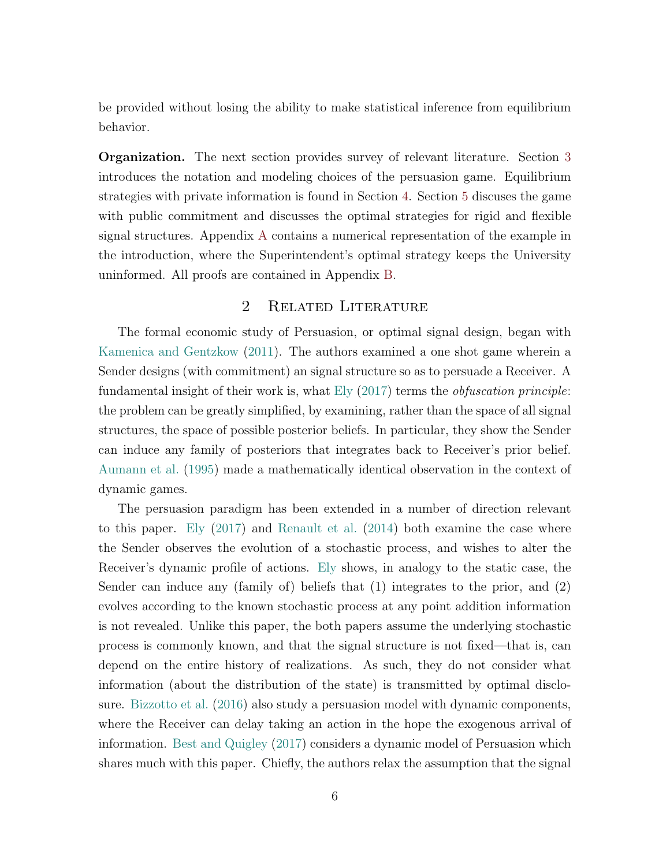be provided without losing the ability to make statistical inference from equilibrium behavior.

Organization. The next section provides survey of relevant literature. Section [3](#page-8-0) introduces the notation and modeling choices of the persuasion game. Equilibrium strategies with private information is found in Section [4.](#page-12-0) Section [5](#page-18-0) discuses the game with public commitment and discusses the optimal strategies for rigid and flexible signal structures. Appendix [A](#page-26-0) contains a numerical representation of the example in the introduction, where the Superintendent's optimal strategy keeps the University uninformed. All proofs are contained in Appendix [B.](#page-29-0)

# 2 Related Literature

The formal economic study of Persuasion, or optimal signal design, began with [Kamenica and Gentzkow](#page-35-0) [\(2011\)](#page-35-0). The authors examined a one shot game wherein a Sender designs (with commitment) an signal structure so as to persuade a Receiver. A fundamental insight of their work is, what  $E[y(2017)$  $E[y(2017)$  terms the *obfuscation principle*: the problem can be greatly simplified, by examining, rather than the space of all signal structures, the space of possible posterior beliefs. In particular, they show the Sender can induce any family of posteriors that integrates back to Receiver's prior belief. [Aumann et al.](#page-35-6) [\(1995\)](#page-35-6) made a mathematically identical observation in the context of dynamic games.

The persuasion paradigm has been extended in a number of direction relevant to this paper. [Ely](#page-35-5) [\(2017\)](#page-35-5) and [Renault et al.](#page-35-7) [\(2014\)](#page-35-7) both examine the case where the Sender observes the evolution of a stochastic process, and wishes to alter the Receiver's dynamic profile of actions. [Ely](#page-35-5) shows, in analogy to the static case, the Sender can induce any (family of) beliefs that (1) integrates to the prior, and (2) evolves according to the known stochastic process at any point addition information is not revealed. Unlike this paper, the both papers assume the underlying stochastic process is commonly known, and that the signal structure is not fixed—that is, can depend on the entire history of realizations. As such, they do not consider what information (about the distribution of the state) is transmitted by optimal disclosure. [Bizzotto et al.](#page-35-8) [\(2016\)](#page-35-8) also study a persuasion model with dynamic components, where the Receiver can delay taking an action in the hope the exogenous arrival of information. [Best and Quigley](#page-35-4) [\(2017\)](#page-35-4) considers a dynamic model of Persuasion which shares much with this paper. Chiefly, the authors relax the assumption that the signal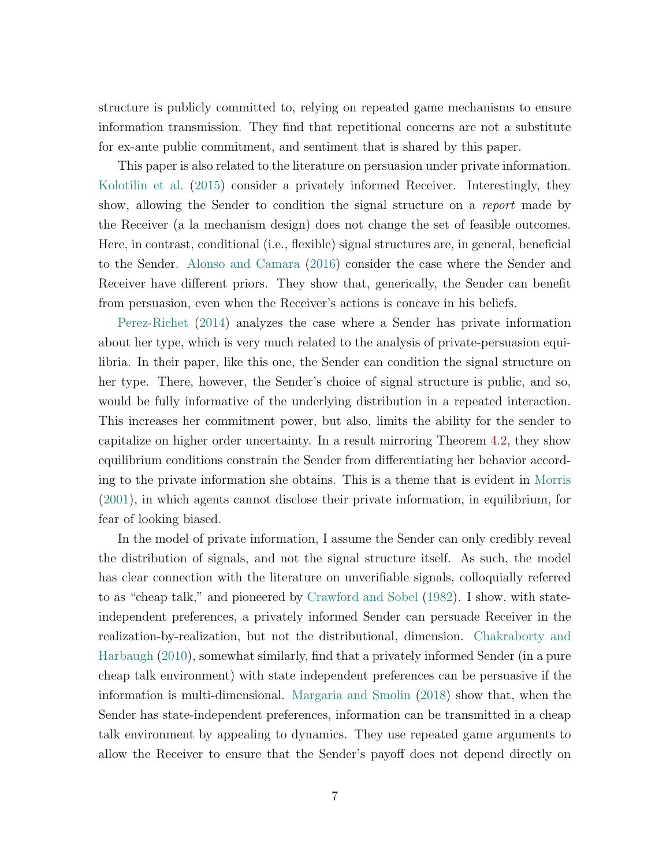structure is publicly committed to, relying on repeated game mechanisms to ensure information transmission. They find that repetitional concerns are not a substitute for ex-ante public commitment, and sentiment that is shared by this paper.

This paper is also related to the literature on persuasion under private information. [Kolotilin et al.](#page-35-1) [\(2015\)](#page-35-1) consider a privately informed Receiver. Interestingly, they show, allowing the Sender to condition the signal structure on a report made by the Receiver (a la mechanism design) does not change the set of feasible outcomes. Here, in contrast, conditional (i.e., flexible) signal structures are, in general, beneficial to the Sender. [Alonso and Camara](#page-35-9) [\(2016\)](#page-35-9) consider the case where the Sender and Receiver have different priors. They show that, generically, the Sender can benefit from persuasion, even when the Receiver's actions is concave in his beliefs.

[Perez-Richet](#page-35-3) [\(2014\)](#page-35-3) analyzes the case where a Sender has private information about her type, which is very much related to the analysis of private-persuasion equilibria. In their paper, like this one, the Sender can condition the signal structure on her type. There, however, the Sender's choice of signal structure is public, and so, would be fully informative of the underlying distribution in a repeated interaction. This increases her commitment power, but also, limits the ability for the sender to capitalize on higher order uncertainty. In a result mirroring Theorem [4.2,](#page-14-0) they show equilibrium conditions constrain the Sender from differentiating her behavior according to the private information she obtains. This is a theme that is evident in [Morris](#page-35-10) [\(2001\)](#page-35-10), in which agents cannot disclose their private information, in equilibrium, for fear of looking biased.

In the model of private information, I assume the Sender can only credibly reveal the distribution of signals, and not the signal structure itself. As such, the model has clear connection with the literature on unverifiable signals, colloquially referred to as "cheap talk," and pioneered by [Crawford and Sobel](#page-35-11) [\(1982\)](#page-35-11). I show, with stateindependent preferences, a privately informed Sender can persuade Receiver in the realization-by-realization, but not the distributional, dimension. [Chakraborty and](#page-35-12) [Harbaugh](#page-35-12) [\(2010\)](#page-35-12), somewhat similarly, find that a privately informed Sender (in a pure cheap talk environment) with state independent preferences can be persuasive if the information is multi-dimensional. [Margaria and Smolin](#page-35-13) [\(2018\)](#page-35-13) show that, when the Sender has state-independent preferences, information can be transmitted in a cheap talk environment by appealing to dynamics. They use repeated game arguments to allow the Receiver to ensure that the Sender's payoff does not depend directly on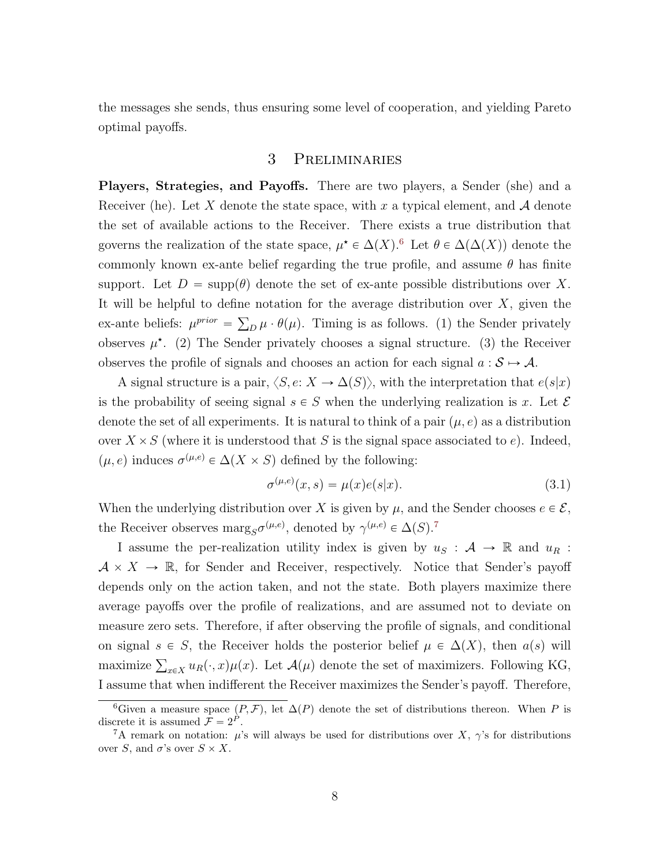<span id="page-8-0"></span>the messages she sends, thus ensuring some level of cooperation, and yielding Pareto optimal payoffs.

## 3 Preliminaries

Players, Strategies, and Payoffs. There are two players, a Sender (she) and a Receiver (he). Let X denote the state space, with x a typical element, and  $\mathcal A$  denote the set of available actions to the Receiver. There exists a true distribution that governs the realization of the state space,  $\mu^* \in \Delta(X)$ .<sup>[6](#page-8-1)</sup> Let  $\theta \in \Delta(\Delta(X))$  denote the commonly known ex-ante belief regarding the true profile, and assume  $\theta$  has finite support. Let  $D = \text{supp}(\theta)$  denote the set of ex-ante possible distributions over X. It will be helpful to define notation for the average distribution over  $X$ , given the ex-ante beliefs:  $\mu^{prior} = \sum_D \mu \cdot \theta(\mu)$ . Timing is as follows. (1) the Sender privately observes  $\mu^*$ . (2) The Sender privately chooses a signal structure. (3) the Receiver observes the profile of signals and chooses an action for each signal  $a : \mathcal{S} \mapsto \mathcal{A}$ .

A signal structure is a pair,  $\langle S, e: X \to \Delta(S) \rangle$ , with the interpretation that  $e(s|x)$ is the probability of seeing signal  $s \in S$  when the underlying realization is x. Let  $\mathcal E$ denote the set of all experiments. It is natural to think of a pair  $(\mu, e)$  as a distribution over  $X \times S$  (where it is understood that S is the signal space associated to e). Indeed,  $(\mu, e)$  induces  $\sigma^{(\mu,e)} \in \Delta(X \times S)$  defined by the following:

$$
\sigma^{(\mu,e)}(x,s) = \mu(x)e(s|x). \tag{3.1}
$$

When the underlying distribution over X is given by  $\mu$ , and the Sender chooses  $e \in \mathcal{E}$ , the Receiver observes  $\text{marg}_S \sigma^{(\mu,e)}$ , denoted by  $\gamma^{(\mu,e)} \in \Delta(S)$ .<sup>[7](#page-8-2)</sup>

I assume the per-realization utility index is given by  $u_S : A \to \mathbb{R}$  and  $u_R$ :  $A \times X \to \mathbb{R}$ , for Sender and Receiver, respectively. Notice that Sender's payoff depends only on the action taken, and not the state. Both players maximize there average payoffs over the profile of realizations, and are assumed not to deviate on measure zero sets. Therefore, if after observing the profile of signals, and conditional on signal  $s \in S$ , the Receiver holds the posterior belief  $\mu \in \Delta(X)$ , then  $a(s)$  will on signar  $s \in D$ , the receiver holds the posterior benefit  $\mu \in \Delta(X)$ , then  $u(s)$  will<br>maximize  $\sum_{x \in X} u_R(\cdot, x) \mu(x)$ . Let  $\mathcal{A}(\mu)$  denote the set of maximizers. Following KG, I assume that when indifferent the Receiver maximizes the Sender's payoff. Therefore,

<span id="page-8-1"></span><sup>&</sup>lt;sup>6</sup>Given a measure space  $(P, \mathcal{F})$ , let  $\Delta(P)$  denote the set of distributions thereon. When P is discrete it is assumed  $\mathcal{F} = 2^P$ .

<span id="page-8-2"></span><sup>&</sup>lt;sup>7</sup>A remark on notation:  $\mu$ 's will always be used for distributions over X,  $\gamma$ 's for distributions over S, and  $\sigma$ 's over  $S \times X$ .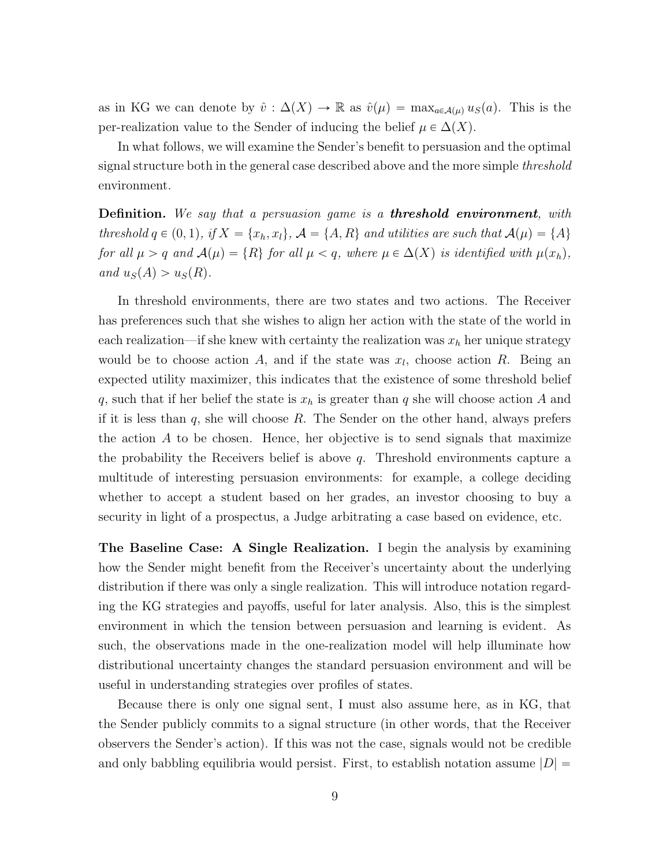as in KG we can denote by  $\hat{v} : \Delta(X) \to \mathbb{R}$  as  $\hat{v}(\mu) = \max_{a \in \mathcal{A}(\mu)} u_S(a)$ . This is the per-realization value to the Sender of inducing the belief  $\mu \in \Delta(X)$ .

In what follows, we will examine the Sender's benefit to persuasion and the optimal signal structure both in the general case described above and the more simple *threshold* environment.

**Definition.** We say that a persuasion game is a **threshold environment**, with threshold  $q \in (0, 1),$  if  $X = \{x_h, x_l\}, \mathcal{A} = \{A, R\}$  and utilities are such that  $\mathcal{A}(\mu) = \{A\}$ for all  $\mu > q$  and  $\mathcal{A}(\mu) = \{R\}$  for all  $\mu < q$ , where  $\mu \in \Delta(X)$  is identified with  $\mu(x_h)$ , and  $u_S(A) > u_S(R)$ .

In threshold environments, there are two states and two actions. The Receiver has preferences such that she wishes to align her action with the state of the world in each realization—if she knew with certainty the realization was  $x_h$  her unique strategy would be to choose action A, and if the state was  $x_l$ , choose action R. Being an expected utility maximizer, this indicates that the existence of some threshold belief q, such that if her belief the state is  $x_h$  is greater than q she will choose action A and if it is less than  $q$ , she will choose  $R$ . The Sender on the other hand, always prefers the action A to be chosen. Hence, her objective is to send signals that maximize the probability the Receivers belief is above q. Threshold environments capture a multitude of interesting persuasion environments: for example, a college deciding whether to accept a student based on her grades, an investor choosing to buy a security in light of a prospectus, a Judge arbitrating a case based on evidence, etc.

The Baseline Case: A Single Realization. I begin the analysis by examining how the Sender might benefit from the Receiver's uncertainty about the underlying distribution if there was only a single realization. This will introduce notation regarding the KG strategies and payoffs, useful for later analysis. Also, this is the simplest environment in which the tension between persuasion and learning is evident. As such, the observations made in the one-realization model will help illuminate how distributional uncertainty changes the standard persuasion environment and will be useful in understanding strategies over profiles of states.

Because there is only one signal sent, I must also assume here, as in KG, that the Sender publicly commits to a signal structure (in other words, that the Receiver observers the Sender's action). If this was not the case, signals would not be credible and only babbling equilibria would persist. First, to establish notation assume  $|D| =$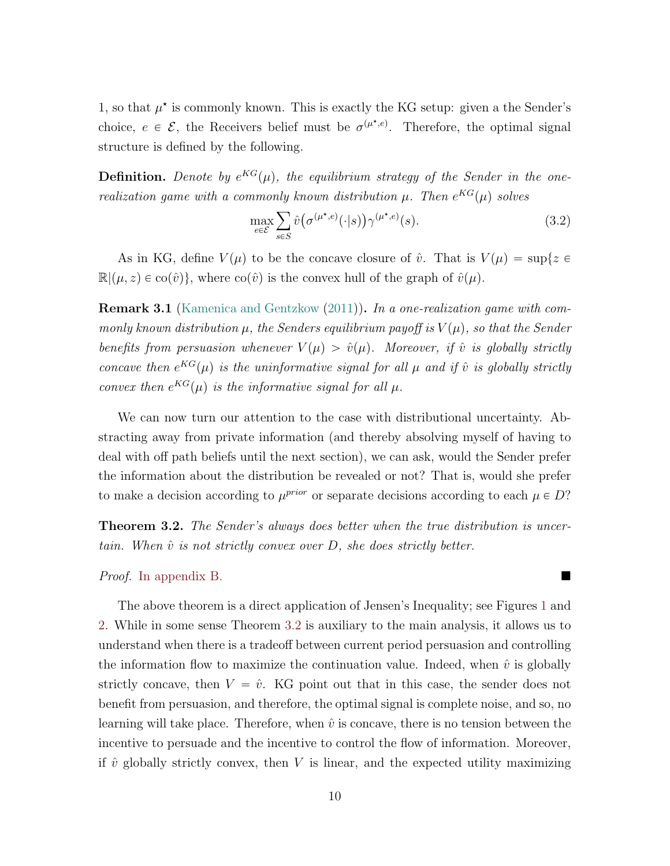1, so that  $\mu^*$  is commonly known. This is exactly the KG setup: given a the Sender's choice,  $e \in \mathcal{E}$ , the Receivers belief must be  $\sigma^{(\mu^*,e)}$ . Therefore, the optimal signal structure is defined by the following.

**Definition.** Denote by  $e^{KG}(\mu)$ , the equilibrium strategy of the Sender in the onerealization game with a commonly known distribution  $\mu$ . Then  $e^{KG}(\mu)$  solves

<span id="page-10-1"></span>
$$
\max_{e \in \mathcal{E}} \sum_{s \in S} \hat{v}\big(\sigma^{(\mu^\star, e)}(\cdot | s)\big) \gamma^{(\mu^\star, e)}(s). \tag{3.2}
$$

As in KG, define  $V(\mu)$  to be the concave closure of  $\hat{v}$ . That is  $V(\mu) = \sup\{z \in$  $\mathbb{R}(\mu, z) \in \text{co}(\hat{v})\},\$  where  $\text{co}(\hat{v})$  is the convex hull of the graph of  $\hat{v}(\mu)$ .

**Remark 3.1** [\(Kamenica and Gentzkow](#page-35-0) [\(2011\)](#page-35-0)). In a one-realization game with commonly known distribution  $\mu$ , the Senders equilibrium payoff is  $V(\mu)$ , so that the Sender benefits from persuasion whenever  $V(\mu) > \hat{v}(\mu)$ . Moreover, if  $\hat{v}$  is globally strictly concave then  $e^{KG}(\mu)$  is the uninformative signal for all  $\mu$  and if  $\hat{v}$  is globally strictly convex then  $e^{KG}(\mu)$  is the informative signal for all  $\mu$ .

We can now turn our attention to the case with distributional uncertainty. Abstracting away from private information (and thereby absolving myself of having to deal with off path beliefs until the next section), we can ask, would the Sender prefer the information about the distribution be revealed or not? That is, would she prefer to make a decision according to  $\mu^{prior}$  or separate decisions according to each  $\mu \in D$ ?

<span id="page-10-0"></span>**Theorem 3.2.** The Sender's always does better when the true distribution is uncertain. When  $\hat{v}$  is not strictly convex over D, she does strictly better.

Proof. [In appendix](#page-29-1) [B.](#page-29-0)

The above theorem is a direct application of Jensen's Inequality; see Figures [1](#page-11-0) and [2.](#page-11-1) While in some sense Theorem [3.2](#page-10-0) is auxiliary to the main analysis, it allows us to understand when there is a tradeoff between current period persuasion and controlling the information flow to maximize the continuation value. Indeed, when  $\hat{v}$  is globally strictly concave, then  $V = \hat{v}$ . KG point out that in this case, the sender does not benefit from persuasion, and therefore, the optimal signal is complete noise, and so, no learning will take place. Therefore, when  $\hat{v}$  is concave, there is no tension between the incentive to persuade and the incentive to control the flow of information. Moreover, if  $\hat{v}$  globally strictly convex, then V is linear, and the expected utility maximizing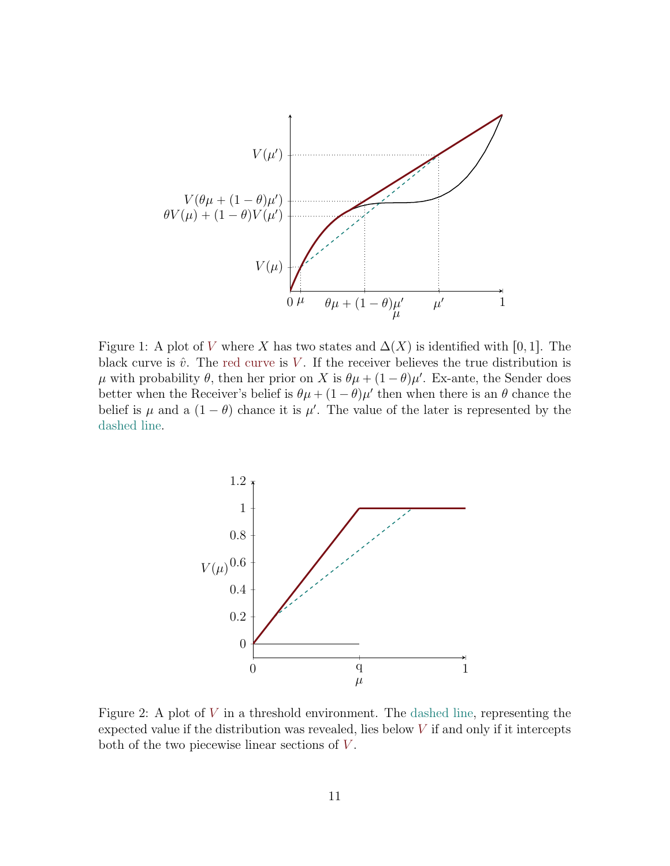

<span id="page-11-0"></span>Figure 1: A plot of V where X has two states and  $\Delta(X)$  is identified with [0, 1]. The black curve is  $\hat{v}$ . The red curve is V. If the receiver believes the true distribution is μ with probability θ, then her prior on X is  $θμ + (1 - θ)μ'$ . Ex-ante, the Sender does better when the Receiver's belief is  $\theta \mu + (1 - \theta) \mu'$  then when there is an  $\theta$  chance the belief is  $\mu$  and a  $(1 - \theta)$  chance it is  $\mu'$ . The value of the later is represented by the dashed line.



<span id="page-11-1"></span>Figure 2: A plot of  $V$  in a threshold environment. The dashed line, representing the expected value if the distribution was revealed, lies below  $V$  if and only if it intercepts both of the two piecewise linear sections of  $V$ .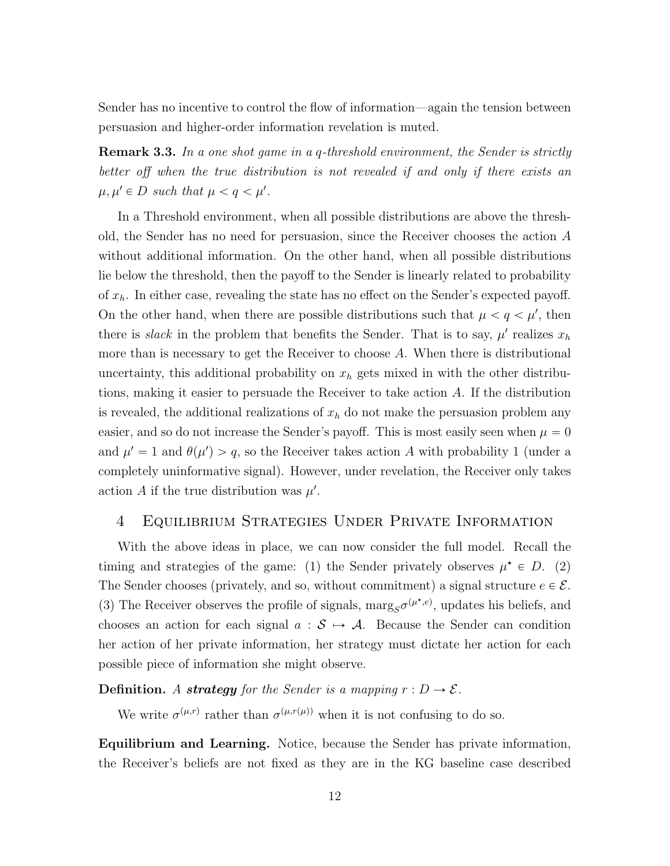Sender has no incentive to control the flow of information—again the tension between persuasion and higher-order information revelation is muted.

**Remark 3.3.** In a one shot game in a q-threshold environment, the Sender is strictly better off when the true distribution is not revealed if and only if there exists an  $\mu, \mu' \in D$  such that  $\mu < q < \mu'$ .

In a Threshold environment, when all possible distributions are above the threshold, the Sender has no need for persuasion, since the Receiver chooses the action A without additional information. On the other hand, when all possible distributions lie below the threshold, then the payoff to the Sender is linearly related to probability of  $x_h$ . In either case, revealing the state has no effect on the Sender's expected payoff. On the other hand, when there are possible distributions such that  $\mu < q < \mu'$ , then there is *slack* in the problem that benefits the Sender. That is to say,  $\mu'$  realizes  $x_h$ more than is necessary to get the Receiver to choose  $A$ . When there is distributional uncertainty, this additional probability on  $x<sub>h</sub>$  gets mixed in with the other distributions, making it easier to persuade the Receiver to take action A. If the distribution is revealed, the additional realizations of  $x<sub>h</sub>$  do not make the persuasion problem any easier, and so do not increase the Sender's payoff. This is most easily seen when  $\mu = 0$ and  $\mu' = 1$  and  $\theta(\mu') > q$ , so the Receiver takes action A with probability 1 (under a completely uninformative signal). However, under revelation, the Receiver only takes action A if the true distribution was  $\mu'$ .

## <span id="page-12-0"></span>4 Equilibrium Strategies Under Private Information

With the above ideas in place, we can now consider the full model. Recall the timing and strategies of the game: (1) the Sender privately observes  $\mu^* \in D$ . (2) The Sender chooses (privately, and so, without commitment) a signal structure  $e \in \mathcal{E}$ . (3) The Receiver observes the profile of signals,  $\text{marg}_{S} \sigma^{(\mu^*, e)}$ , updates his beliefs, and chooses an action for each signal  $a : \mathcal{S} \mapsto \mathcal{A}$ . Because the Sender can condition her action of her private information, her strategy must dictate her action for each possible piece of information she might observe.

**Definition.** A **strategy** for the Sender is a mapping  $r : D \to \mathcal{E}$ .

We write  $\sigma^{(\mu,r)}$  rather than  $\sigma^{(\mu,r(\mu))}$  when it is not confusing to do so.

Equilibrium and Learning. Notice, because the Sender has private information, the Receiver's beliefs are not fixed as they are in the KG baseline case described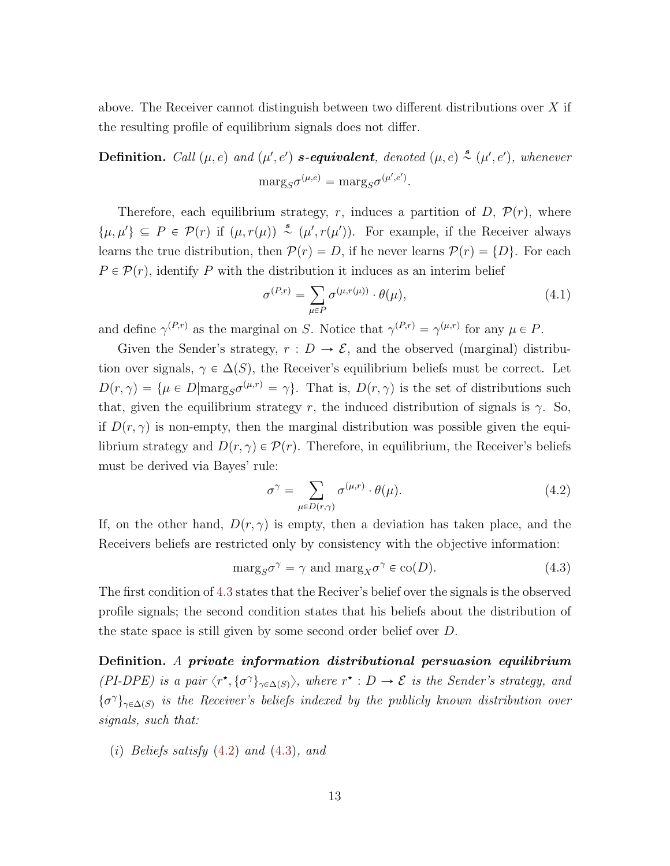above. The Receiver cannot distinguish between two different distributions over  $X$  if the resulting profile of equilibrium signals does not differ.

**Definition.** Call  $(\mu, e)$  and  $(\mu', e')$  **s-equivalent**, denoted  $(\mu, e) \stackrel{\text{g}}{\sim} (\mu', e')$ , whenever  $\text{marg}_S \sigma^{(\mu,e)} = \text{marg}_S \sigma^{(\mu',e')}.$ 

Therefore, each equilibrium strategy, r, induces a partition of D,  $\mathcal{P}(r)$ , where  $\{\mu, \mu'\}\subseteq P \in \mathcal{P}(r)$  if  $(\mu, r(\mu)) \stackrel{s}{\sim} (\mu', r(\mu'))$ . For example, if the Receiver always learns the true distribution, then  $P(r) = D$ , if he never learns  $P(r) = \{D\}$ . For each  $P \in \mathcal{P}(r)$ , identify P with the distribution it induces as an interim belief

$$
\sigma^{(P,r)} = \sum_{\mu \in P} \sigma^{(\mu, r(\mu))} \cdot \theta(\mu), \qquad (4.1)
$$

and define  $\gamma^{(P,r)}$  as the marginal on S. Notice that  $\gamma^{(P,r)} = \gamma^{(\mu,r)}$  for any  $\mu \in P$ .

Given the Sender's strategy,  $r: D \to \mathcal{E}$ , and the observed (marginal) distribution over signals,  $\gamma \in \Delta(S)$ , the Receiver's equilibrium beliefs must be correct. Let  $D(r,\gamma) = {\mu \in D | \text{marg}_{S} \sigma^{(\mu,r)} = \gamma }$ . That is,  $D(r,\gamma)$  is the set of distributions such that, given the equilibrium strategy r, the induced distribution of signals is  $\gamma$ . So, if  $D(r, \gamma)$  is non-empty, then the marginal distribution was possible given the equilibrium strategy and  $D(r, \gamma) \in \mathcal{P}(r)$ . Therefore, in equilibrium, the Receiver's beliefs must be derived via Bayes' rule:

<span id="page-13-1"></span><span id="page-13-0"></span>
$$
\sigma^{\gamma} = \sum_{\mu \in D(r,\gamma)} \sigma^{(\mu,r)} \cdot \theta(\mu). \tag{4.2}
$$

If, on the other hand,  $D(r, \gamma)$  is empty, then a deviation has taken place, and the Receivers beliefs are restricted only by consistency with the objective information:

$$
\mathrm{marg}_{S}\sigma^{\gamma} = \gamma \text{ and } \mathrm{marg}_{X}\sigma^{\gamma} \in \mathrm{co}(D). \tag{4.3}
$$

The first condition of [4.3](#page-13-0) states that the Reciver's belief over the signals is the observed profile signals; the second condition states that his beliefs about the distribution of the state space is still given by some second order belief over D.

Definition. A private information distributional persuasion equilibrium (PI-DPE) is a pair  $\langle r^*, \{\sigma^{\gamma}\}_{\gamma \in \Delta(S)}\rangle$ , where  $r^*: D \to \mathcal{E}$  is the Sender's strategy, and  $\{\sigma^{\gamma}\}_{\gamma \in \Delta(S)}$  is the Receiver's beliefs indexed by the publicly known distribution over signals, such that:

(i) Beliefs satisfy  $(4.2)$  and  $(4.3)$ , and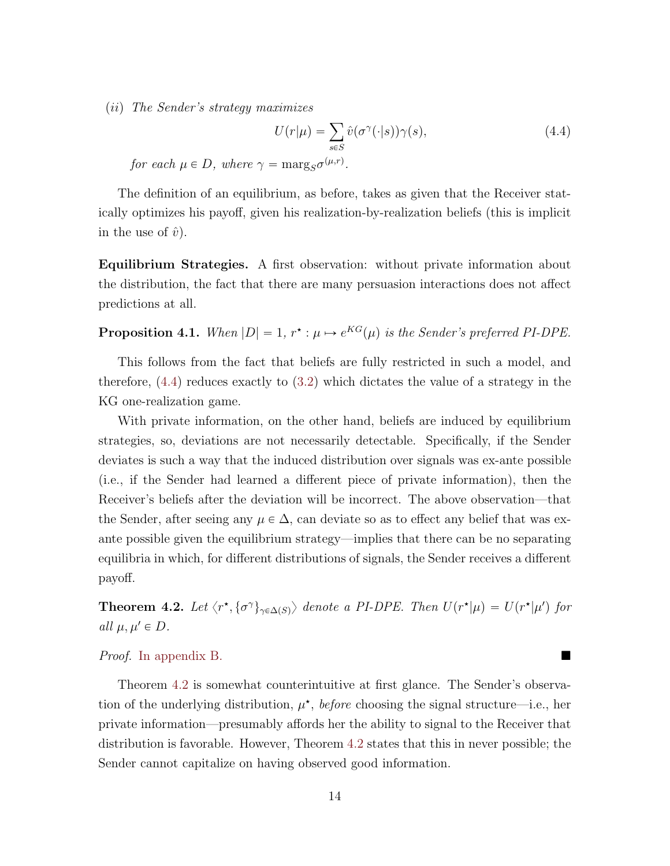$(ii)$  The Sender's strategy maximizes

<span id="page-14-1"></span>
$$
U(r|\mu) = \sum_{s \in S} \hat{v}(\sigma^{\gamma}(\cdot|s))\gamma(s), \qquad (4.4)
$$

for each  $\mu \in D$ , where  $\gamma = \text{marg}_S \sigma^{(\mu,r)}$ .

The definition of an equilibrium, as before, takes as given that the Receiver statically optimizes his payoff, given his realization-by-realization beliefs (this is implicit in the use of  $\hat{v}$ ).

Equilibrium Strategies. A first observation: without private information about the distribution, the fact that there are many persuasion interactions does not affect predictions at all.

**Proposition 4.1.** When  $|D| = 1$ ,  $r^* : \mu \mapsto e^{KG}(\mu)$  is the Sender's preferred PI-DPE.

This follows from the fact that beliefs are fully restricted in such a model, and therefore, [\(4.4\)](#page-14-1) reduces exactly to [\(3.2\)](#page-10-1) which dictates the value of a strategy in the KG one-realization game.

With private information, on the other hand, beliefs are induced by equilibrium strategies, so, deviations are not necessarily detectable. Specifically, if the Sender deviates is such a way that the induced distribution over signals was ex-ante possible (i.e., if the Sender had learned a different piece of private information), then the Receiver's beliefs after the deviation will be incorrect. The above observation—that the Sender, after seeing any  $\mu \in \Delta$ , can deviate so as to effect any belief that was exante possible given the equilibrium strategy—implies that there can be no separating equilibria in which, for different distributions of signals, the Sender receives a different payoff.

<span id="page-14-0"></span>**Theorem 4.2.** Let  $\langle r^*, \{\sigma^{\gamma}\}_{\gamma \in \Delta(S)}\rangle$  denote a PI-DPE. Then  $U(r^*|\mu) = U(r^*|\mu')$  for all  $\mu, \mu' \in D$ .

#### Proof. [In appendix](#page-29-2) [B.](#page-29-0)

Theorem [4.2](#page-14-0) is somewhat counterintuitive at first glance. The Sender's observation of the underlying distribution,  $\mu^*$ , *before* choosing the signal structure—i.e., her private information—presumably affords her the ability to signal to the Receiver that distribution is favorable. However, Theorem [4.2](#page-14-0) states that this in never possible; the Sender cannot capitalize on having observed good information.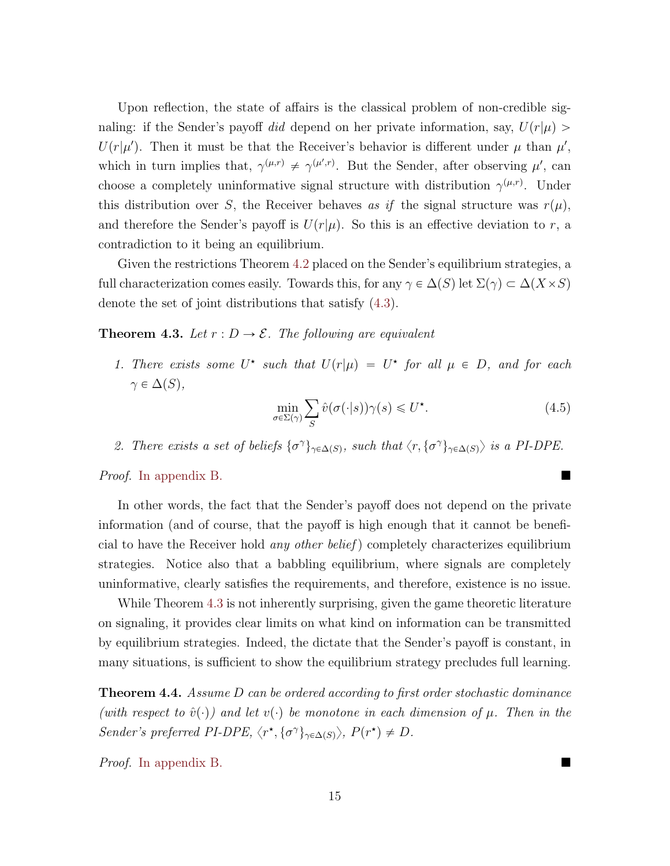Upon reflection, the state of affairs is the classical problem of non-credible signaling: if the Sender's payoff did depend on her private information, say,  $U(r|\mu)$  $U(r|\mu')$ . Then it must be that the Receiver's behavior is different under  $\mu$  than  $\mu'$ , which in turn implies that,  $\gamma^{(\mu,r)} \neq \gamma^{(\mu',r)}$ . But the Sender, after observing  $\mu'$ , can choose a completely uninformative signal structure with distribution  $\gamma^{(\mu,r)}$ . Under this distribution over S, the Receiver behaves as if the signal structure was  $r(\mu)$ , and therefore the Sender's payoff is  $U(r|\mu)$ . So this is an effective deviation to r, a contradiction to it being an equilibrium.

Given the restrictions Theorem [4.2](#page-14-0) placed on the Sender's equilibrium strategies, a full characterization comes easily. Towards this, for any  $\gamma \in \Delta(S)$  let  $\Sigma(\gamma) \subset \Delta(X \times S)$ denote the set of joint distributions that satisfy [\(4.3\)](#page-13-0).

<span id="page-15-0"></span>**Theorem 4.3.** Let  $r : D \to \mathcal{E}$ . The following are equivalent

1. There exists some U<sup>\*</sup> such that  $U(r|\mu) = U^*$  for all  $\mu \in D$ , and for each  $\gamma \in \Delta(S)$ ,

<span id="page-15-2"></span>
$$
\min_{\sigma \in \Sigma(\gamma)} \sum_{S} \hat{v}(\sigma(\cdot|s)) \gamma(s) \leq U^*.
$$
\n(4.5)

2. There exists a set of beliefs  $\{\sigma^{\gamma}\}_{\gamma \in \Delta(S)}$ , such that  $\langle r, \{\sigma^{\gamma}\}_{\gamma \in \Delta(S)}\rangle$  is a PI-DPE.

Proof. [In appendix](#page-30-0) [B.](#page-29-0)

In other words, the fact that the Sender's payoff does not depend on the private information (and of course, that the payoff is high enough that it cannot be beneficial to have the Receiver hold any other belief ) completely characterizes equilibrium strategies. Notice also that a babbling equilibrium, where signals are completely uninformative, clearly satisfies the requirements, and therefore, existence is no issue.

While Theorem [4.3](#page-15-0) is not inherently surprising, given the game theoretic literature on signaling, it provides clear limits on what kind on information can be transmitted by equilibrium strategies. Indeed, the dictate that the Sender's payoff is constant, in many situations, is sufficient to show the equilibrium strategy precludes full learning.

<span id="page-15-1"></span>**Theorem 4.4.** Assume  $D$  can be ordered according to first order stochastic dominance (with respect to  $\hat{v}(\cdot)$ ) and let  $v(\cdot)$  be monotone in each dimension of  $\mu$ . Then in the Sender's preferred PI-DPE,  $\langle r^*, \{\sigma^{\gamma}\}_{\gamma \in \Delta(S)} \rangle$ ,  $P(r^*) \neq D$ .

Proof. [In appendix](#page-30-1) [B.](#page-29-0)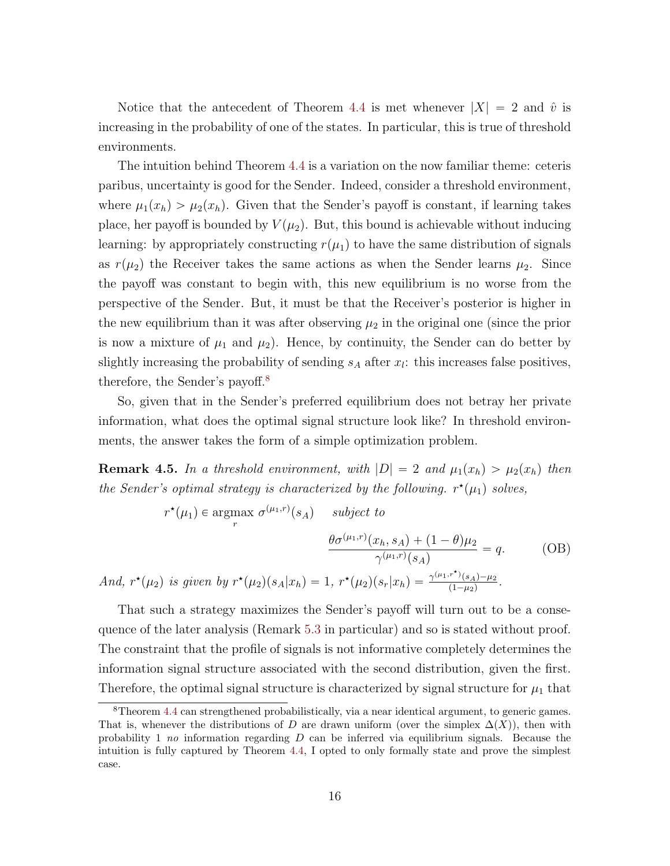Notice that the antecedent of Theorem [4.4](#page-15-1) is met whenever  $|X| = 2$  and  $\hat{v}$  is increasing in the probability of one of the states. In particular, this is true of threshold environments.

The intuition behind Theorem [4.4](#page-15-1) is a variation on the now familiar theme: ceteris paribus, uncertainty is good for the Sender. Indeed, consider a threshold environment, where  $\mu_1(x_h) > \mu_2(x_h)$ . Given that the Sender's payoff is constant, if learning takes place, her payoff is bounded by  $V(\mu_2)$ . But, this bound is achievable without inducing learning: by appropriately constructing  $r(\mu_1)$  to have the same distribution of signals as  $r(\mu_2)$  the Receiver takes the same actions as when the Sender learns  $\mu_2$ . Since the payoff was constant to begin with, this new equilibrium is no worse from the perspective of the Sender. But, it must be that the Receiver's posterior is higher in the new equilibrium than it was after observing  $\mu_2$  in the original one (since the prior is now a mixture of  $\mu_1$  and  $\mu_2$ ). Hence, by continuity, the Sender can do better by slightly increasing the probability of sending  $s_A$  after  $x_l$ : this increases false positives, therefore, the Sender's payoff.[8](#page-16-0)

So, given that in the Sender's preferred equilibrium does not betray her private information, what does the optimal signal structure look like? In threshold environments, the answer takes the form of a simple optimization problem.

<span id="page-16-1"></span>**Remark 4.5.** In a threshold environment, with  $|D| = 2$  and  $\mu_1(x_h) > \mu_2(x_h)$  then the Sender's optimal strategy is characterized by the following.  $r^*(\mu_1)$  solves,

$$
r^{\star}(\mu_1) \in \underset{r}{\text{argmax}} \ \sigma^{(\mu_1, r)}(s_A) \qquad \text{subject to}
$$
\n
$$
\frac{\theta \sigma^{(\mu_1, r)}(x_h, s_A) + (1 - \theta)\mu_2}{\gamma^{(\mu_1, r)}(s_A)} = q. \tag{OB}
$$
\n
$$
\text{And, } r^{\star}(\mu_2) \text{ is given by } r^{\star}(\mu_2)(s_A|x_h) = 1, \ r^{\star}(\mu_2)(s_r|x_h) = \frac{\gamma^{(\mu_1, r^{\star})}(s_A) - \mu_2}{(1 - \mu_2)}.
$$

That such a strategy maximizes the Sender's payoff will turn out to be a consequence of the later analysis (Remark [5.3](#page-21-0) in particular) and so is stated without proof. The constraint that the profile of signals is not informative completely determines the information signal structure associated with the second distribution, given the first. Therefore, the optimal signal structure is characterized by signal structure for  $\mu_1$  that

<span id="page-16-0"></span> ${}^8$ Theorem [4.4](#page-15-1) can strengthened probabilistically, via a near identical argument, to generic games. That is, whenever the distributions of D are drawn uniform (over the simplex  $\Delta(X)$ ), then with probability 1 no information regarding  $D$  can be inferred via equilibrium signals. Because the intuition is fully captured by Theorem [4.4,](#page-15-1) I opted to only formally state and prove the simplest case.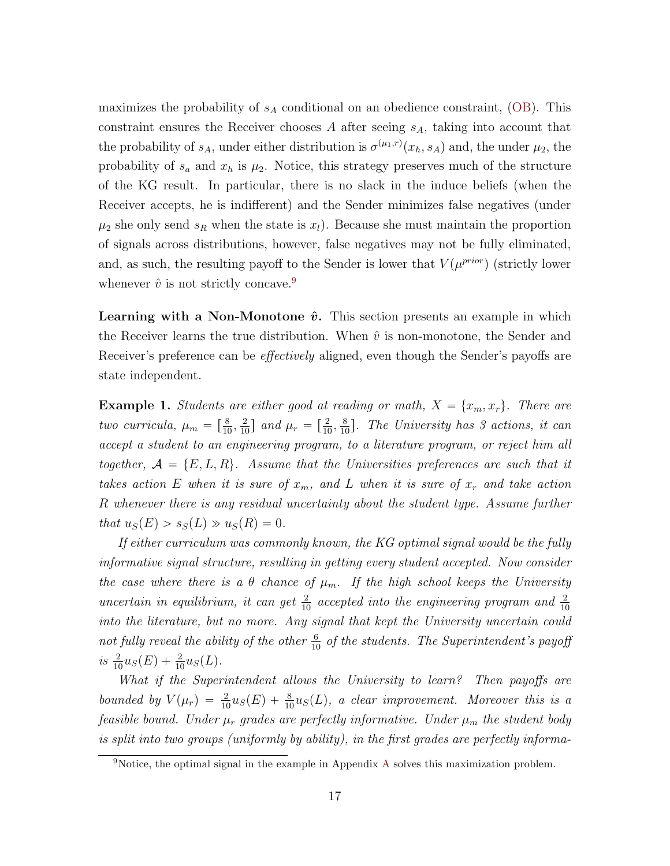maximizes the probability of  $s_A$  conditional on an obedience constraint, [\(OB\)](#page-21-1). This constraint ensures the Receiver chooses  $A$  after seeing  $s_A$ , taking into account that the probability of  $s_A$ , under either distribution is  $\sigma^{(\mu_1,r)}(x_h, s_A)$  and, the under  $\mu_2$ , the probability of  $s_a$  and  $x_h$  is  $\mu_2$ . Notice, this strategy preserves much of the structure of the KG result. In particular, there is no slack in the induce beliefs (when the Receiver accepts, he is indifferent) and the Sender minimizes false negatives (under  $\mu_2$  she only send  $s_R$  when the state is  $x_l$ ). Because she must maintain the proportion of signals across distributions, however, false negatives may not be fully eliminated, and, as such, the resulting payoff to the Sender is lower that  $V(\mu^{prior})$  (strictly lower whenever  $\hat{v}$  is not strictly concave.<sup>[9](#page-17-0)</sup>

**Learning with a Non-Monotone**  $\hat{v}$ **.** This section presents an example in which the Receiver learns the true distribution. When  $\hat{v}$  is non-monotone, the Sender and Receiver's preference can be *effectively* aligned, even though the Sender's payoffs are state independent.

**Example 1.** Students are either good at reading or math,  $X = \{x_m, x_r\}$ . There are two curricula,  $\mu_m = \left[\frac{8}{10}, \frac{2}{10}\right]$  and  $\mu_r = \left[\frac{2}{10}, \frac{8}{10}\right]$ . The University has 3 actions, it can accept a student to an engineering program, to a literature program, or reject him all together,  $A = \{E, L, R\}$ . Assume that the Universities preferences are such that it takes action E when it is sure of  $x_m$ , and L when it is sure of  $x_r$  and take action R whenever there is any residual uncertainty about the student type. Assume further that  $u_S(E) > s_S(L) \gg u_S(R) = 0$ .

If either curriculum was commonly known, the KG optimal signal would be the fully informative signal structure, resulting in getting every student accepted. Now consider the case where there is a  $\theta$  chance of  $\mu_m$ . If the high school keeps the University uncertain in equilibrium, it can get  $\frac{2}{10}$  accepted into the engineering program and  $\frac{2}{10}$ into the literature, but no more. Any signal that kept the University uncertain could not fully reveal the ability of the other  $\frac{6}{10}$  of the students. The Superintendent's payoff is  $\frac{2}{10}u_S(E) + \frac{2}{10}u_S(L)$ .

What if the Superintendent allows the University to learn? Then payoffs are bounded by  $V(\mu_r) = \frac{2}{10}u_S(E) + \frac{8}{10}u_S(L)$ , a clear improvement. Moreover this is a feasible bound. Under  $\mu_r$  grades are perfectly informative. Under  $\mu_m$  the student body is split into two groups (uniformly by ability), in the first grades are perfectly informa-

<span id="page-17-0"></span><sup>9</sup>Notice, the optimal signal in the example in Appendix [A](#page-26-0) solves this maximization problem.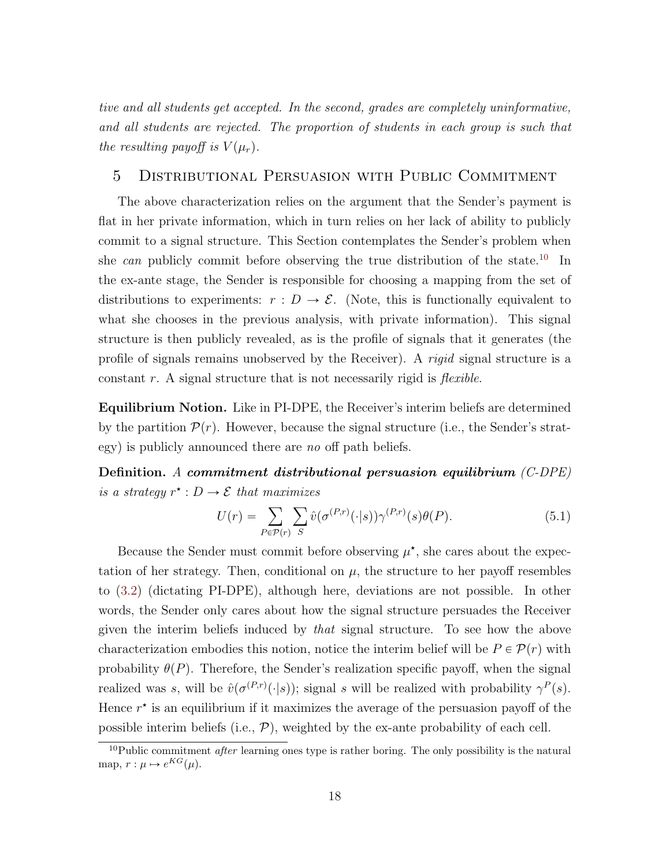tive and all students get accepted. In the second, grades are completely uninformative, and all students are rejected. The proportion of students in each group is such that the resulting payoff is  $V(\mu_r)$ .

# <span id="page-18-0"></span>5 Distributional Persuasion with Public Commitment

The above characterization relies on the argument that the Sender's payment is flat in her private information, which in turn relies on her lack of ability to publicly commit to a signal structure. This Section contemplates the Sender's problem when she can publicly commit before observing the true distribution of the state.<sup>[10](#page-18-1)</sup> In the ex-ante stage, the Sender is responsible for choosing a mapping from the set of distributions to experiments:  $r : D \to \mathcal{E}$ . (Note, this is functionally equivalent to what she chooses in the previous analysis, with private information). This signal structure is then publicly revealed, as is the profile of signals that it generates (the profile of signals remains unobserved by the Receiver). A rigid signal structure is a constant  $r$ . A signal structure that is not necessarily rigid is *flexible*.

Equilibrium Notion. Like in PI-DPE, the Receiver's interim beliefs are determined by the partition  $\mathcal{P}(r)$ . However, because the signal structure (i.e., the Sender's strategy) is publicly announced there are no off path beliefs.

Definition. A commitment distributional persuasion equilibrium  $(C-DPE)$ is a strategy  $r^* : D \to \mathcal{E}$  that maximizes

$$
U(r) = \sum_{P \in \mathcal{P}(r)} \sum_{S} \hat{v}(\sigma^{(P,r)}(\cdot|s)) \gamma^{(P,r)}(s) \theta(P). \tag{5.1}
$$

Because the Sender must commit before observing  $\mu^*$ , she cares about the expectation of her strategy. Then, conditional on  $\mu$ , the structure to her payoff resembles to [\(3.2\)](#page-10-1) (dictating PI-DPE), although here, deviations are not possible. In other words, the Sender only cares about how the signal structure persuades the Receiver given the interim beliefs induced by that signal structure. To see how the above characterization embodies this notion, notice the interim belief will be  $P \in \mathcal{P}(r)$  with probability  $\theta(P)$ . Therefore, the Sender's realization specific payoff, when the signal realized was s, will be  $\hat{v}(\sigma^{(P,r)}(\cdot|s))$ ; signal s will be realized with probability  $\gamma^P(s)$ . Hence  $r^*$  is an equilibrium if it maximizes the average of the persuasion payoff of the possible interim beliefs (i.e.,  $\mathcal{P}$ ), weighted by the ex-ante probability of each cell.

<span id="page-18-1"></span><sup>&</sup>lt;sup>10</sup>Public commitment *after* learning ones type is rather boring. The only possibility is the natural map,  $r : \mu \mapsto e^{KG}(\mu)$ .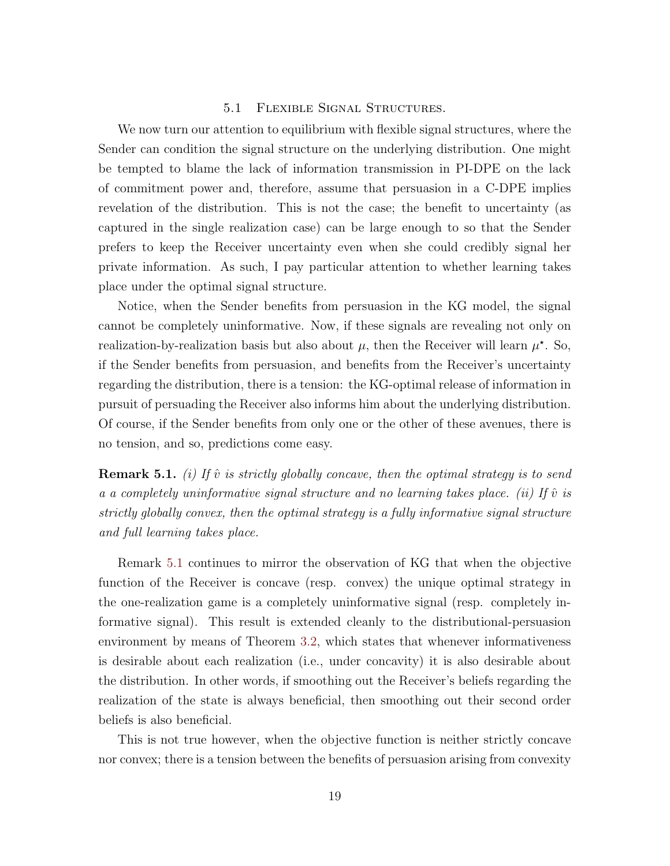## 5.1 Flexible Signal Structures.

We now turn our attention to equilibrium with flexible signal structures, where the Sender can condition the signal structure on the underlying distribution. One might be tempted to blame the lack of information transmission in PI-DPE on the lack of commitment power and, therefore, assume that persuasion in a C-DPE implies revelation of the distribution. This is not the case; the benefit to uncertainty (as captured in the single realization case) can be large enough to so that the Sender prefers to keep the Receiver uncertainty even when she could credibly signal her private information. As such, I pay particular attention to whether learning takes place under the optimal signal structure.

Notice, when the Sender benefits from persuasion in the KG model, the signal cannot be completely uninformative. Now, if these signals are revealing not only on realization-by-realization basis but also about  $\mu$ , then the Receiver will learn  $\mu^*$ . So, if the Sender benefits from persuasion, and benefits from the Receiver's uncertainty regarding the distribution, there is a tension: the KG-optimal release of information in pursuit of persuading the Receiver also informs him about the underlying distribution. Of course, if the Sender benefits from only one or the other of these avenues, there is no tension, and so, predictions come easy.

<span id="page-19-0"></span>**Remark 5.1.** (i) If  $\hat{v}$  is strictly globally concave, then the optimal strategy is to send a a completely uninformative signal structure and no learning takes place. (ii) If  $\hat{v}$  is strictly globally convex, then the optimal strategy is a fully informative signal structure and full learning takes place.

Remark [5.1](#page-19-0) continues to mirror the observation of KG that when the objective function of the Receiver is concave (resp. convex) the unique optimal strategy in the one-realization game is a completely uninformative signal (resp. completely informative signal). This result is extended cleanly to the distributional-persuasion environment by means of Theorem [3.2,](#page-10-0) which states that whenever informativeness is desirable about each realization (i.e., under concavity) it is also desirable about the distribution. In other words, if smoothing out the Receiver's beliefs regarding the realization of the state is always beneficial, then smoothing out their second order beliefs is also beneficial.

This is not true however, when the objective function is neither strictly concave nor convex; there is a tension between the benefits of persuasion arising from convexity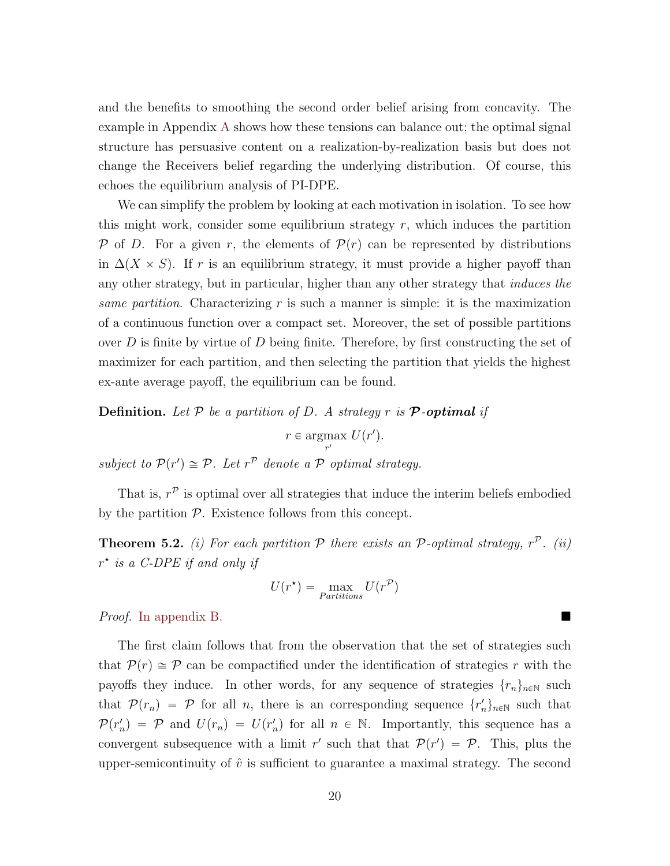and the benefits to smoothing the second order belief arising from concavity. The example in Appendix [A](#page-26-0) shows how these tensions can balance out; the optimal signal structure has persuasive content on a realization-by-realization basis but does not change the Receivers belief regarding the underlying distribution. Of course, this echoes the equilibrium analysis of PI-DPE.

We can simplify the problem by looking at each motivation in isolation. To see how this might work, consider some equilibrium strategy  $r$ , which induces the partition P of D. For a given r, the elements of  $\mathcal{P}(r)$  can be represented by distributions in  $\Delta(X \times S)$ . If r is an equilibrium strategy, it must provide a higher payoff than any other strategy, but in particular, higher than any other strategy that induces the same partition. Characterizing r is such a manner is simple: it is the maximization of a continuous function over a compact set. Moreover, the set of possible partitions over  $D$  is finite by virtue of  $D$  being finite. Therefore, by first constructing the set of maximizer for each partition, and then selecting the partition that yields the highest ex-ante average payoff, the equilibrium can be found.

**Definition.** Let P be a partition of D. A strategy r is **P**-optimal if

 $r \in \text{argmax}$  $\max_{r'} U(r').$ 

subject to  $\mathcal{P}(r') \cong \mathcal{P}$ . Let  $r^{\mathcal{P}}$  denote a  $\mathcal P$  optimal strategy.

That is,  $r^{\mathcal{P}}$  is optimal over all strategies that induce the interim beliefs embodied by the partition  $P$ . Existence follows from this concept.

<span id="page-20-0"></span>**Theorem 5.2.** (i) For each partition  $P$  there exists an  $P$ -optimal strategy,  $r^P$ . (ii)  $r^{\star}$  is a C-DPE if and only if

$$
U(r^*) = \max_{Partitions} U(r^{\mathcal{P}})
$$

Proof. [In appendix](#page-31-0) [B.](#page-29-0)

The first claim follows that from the observation that the set of strategies such that  $\mathcal{P}(r) \cong \mathcal{P}$  can be compactified under the identification of strategies r with the payoffs they induce. In other words, for any sequence of strategies  $\{r_n\}_{n\in\mathbb{N}}$  such that  $\mathcal{P}(r_n) = \mathcal{P}$  for all n, there is an corresponding sequence  $\{r'_n\}_{n\in\mathbb{N}}$  such that  $\mathcal{P}(r'_n) = \mathcal{P}$  and  $U(r_n) = U(r'_n)$  for all  $n \in \mathbb{N}$ . Importantly, this sequence has a convergent subsequence with a limit r' such that that  $\mathcal{P}(r') = \mathcal{P}$ . This, plus the upper-semicontinuity of  $\hat{v}$  is sufficient to guarantee a maximal strategy. The second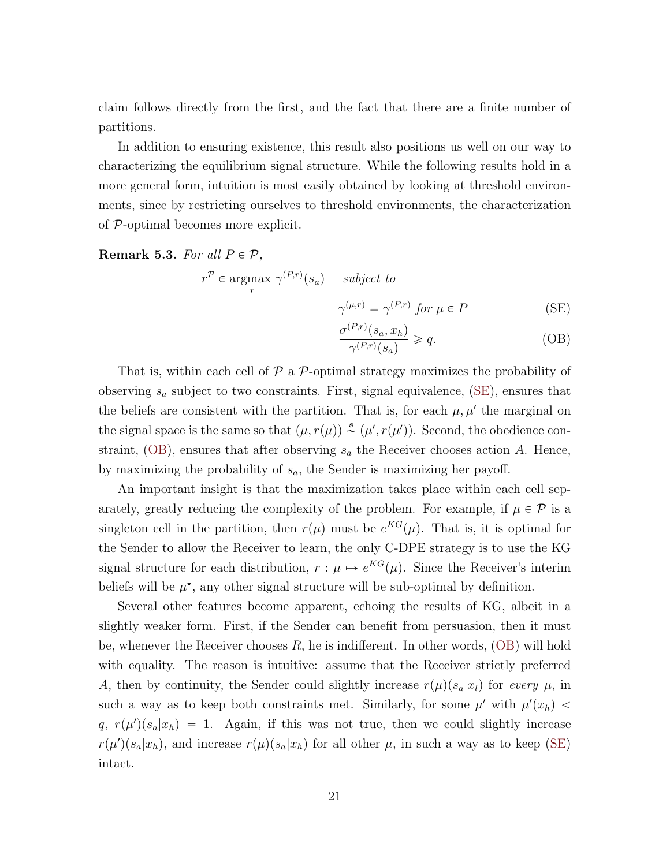claim follows directly from the first, and the fact that there are a finite number of partitions.

In addition to ensuring existence, this result also positions us well on our way to characterizing the equilibrium signal structure. While the following results hold in a more general form, intuition is most easily obtained by looking at threshold environments, since by restricting ourselves to threshold environments, the characterization of P-optimal becomes more explicit.

<span id="page-21-0"></span>Remark 5.3. For all  $P \in \mathcal{P}$ ,

$$
r^{\mathcal{P}} \in \underset{r}{\operatorname{argmax}} \gamma^{(P,r)}(s_a) \quad subject \ to
$$
  

$$
\gamma^{(\mu,r)} = \gamma^{(P,r)} \text{ for } \mu \in P
$$
 (SE)

<span id="page-21-2"></span><span id="page-21-1"></span>
$$
\frac{\sigma^{(P,r)}(s_a, x_h)}{\gamma^{(P,r)}(s_a)} \ge q.
$$
\n(OB)

That is, within each cell of  $\mathcal P$  a  $\mathcal P$ -optimal strategy maximizes the probability of observing  $s_a$  subject to two constraints. First, signal equivalence, [\(SE\)](#page-21-2), ensures that the beliefs are consistent with the partition. That is, for each  $\mu, \mu'$  the marginal on the signal space is the same so that  $(\mu, r(\mu)) \stackrel{s}{\sim} (\mu', r(\mu'))$ . Second, the obedience con-straint, [\(OB\)](#page-21-1), ensures that after observing  $s_a$  the Receiver chooses action A. Hence, by maximizing the probability of  $s_a$ , the Sender is maximizing her payoff.

An important insight is that the maximization takes place within each cell separately, greatly reducing the complexity of the problem. For example, if  $\mu \in \mathcal{P}$  is a singleton cell in the partition, then  $r(\mu)$  must be  $e^{KG}(\mu)$ . That is, it is optimal for the Sender to allow the Receiver to learn, the only C-DPE strategy is to use the KG signal structure for each distribution,  $r : \mu \mapsto e^{KG}(\mu)$ . Since the Receiver's interim beliefs will be  $\mu^*$ , any other signal structure will be sub-optimal by definition.

Several other features become apparent, echoing the results of KG, albeit in a slightly weaker form. First, if the Sender can benefit from persuasion, then it must be, whenever the Receiver chooses  $R$ , he is indifferent. In other words,  $(OB)$  will hold with equality. The reason is intuitive: assume that the Receiver strictly preferred A, then by continuity, the Sender could slightly increase  $r(\mu)(s_a|x_l)$  for every  $\mu$ , in such a way as to keep both constraints met. Similarly, for some  $\mu'$  with  $\mu'(x_h)$  <  $q, r(\mu')(s_a|x_h) = 1.$  Again, if this was not true, then we could slightly increase  $r(\mu')(s_a|x_h)$ , and increase  $r(\mu)(s_a|x_h)$  for all other  $\mu$ , in such a way as to keep [\(SE\)](#page-21-2) intact.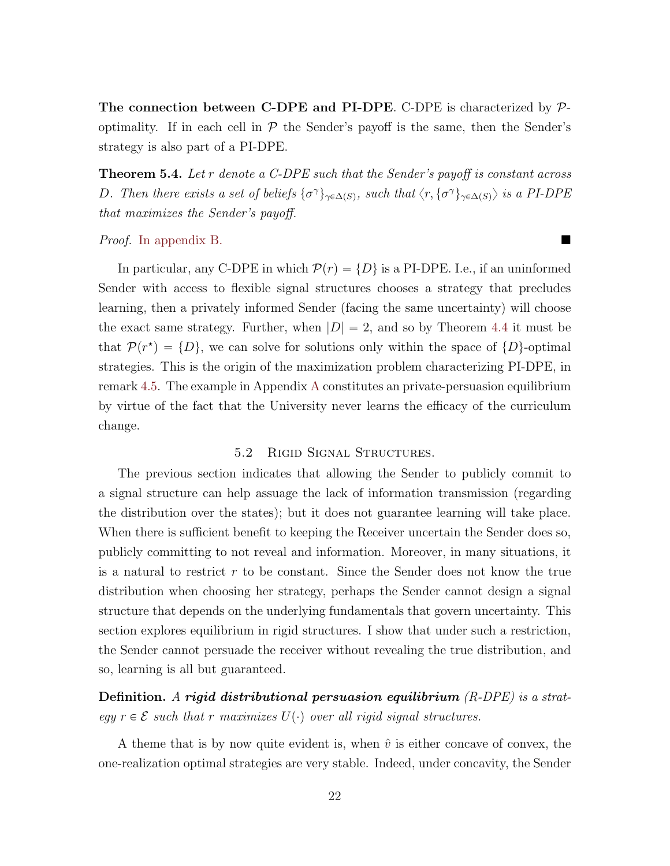The connection between C-DPE and PI-DPE. C-DPE is characterized by  $\mathcal{P}$ optimality. If in each cell in  $P$  the Sender's payoff is the same, then the Sender's strategy is also part of a PI-DPE.

<span id="page-22-0"></span>**Theorem 5.4.** Let r denote a C-DPE such that the Sender's payoff is constant across D. Then there exists a set of beliefs  $\{\sigma^\gamma\}_{\gamma \in \Delta(S)}$ , such that  $\langle r, \{\sigma^\gamma\}_{\gamma \in \Delta(S)}\rangle$  is a PI-DPE that maximizes the Sender's payoff.

#### Proof. [In appendix](#page-32-0) [B.](#page-29-0)

In particular, any C-DPE in which  $\mathcal{P}(r) = \{D\}$  is a PI-DPE. I.e., if an uninformed Sender with access to flexible signal structures chooses a strategy that precludes learning, then a privately informed Sender (facing the same uncertainty) will choose the exact same strategy. Further, when  $|D| = 2$ , and so by Theorem [4.4](#page-15-1) it must be that  $\mathcal{P}(r^*) = \{D\}$ , we can solve for solutions only within the space of  $\{D\}$ -optimal strategies. This is the origin of the maximization problem characterizing PI-DPE, in remark [4.5.](#page-16-1) The example in Appendix [A](#page-26-0) constitutes an private-persuasion equilibrium by virtue of the fact that the University never learns the efficacy of the curriculum change.

## 5.2 Rigid Signal Structures.

The previous section indicates that allowing the Sender to publicly commit to a signal structure can help assuage the lack of information transmission (regarding the distribution over the states); but it does not guarantee learning will take place. When there is sufficient benefit to keeping the Receiver uncertain the Sender does so, publicly committing to not reveal and information. Moreover, in many situations, it is a natural to restrict  $r$  to be constant. Since the Sender does not know the true distribution when choosing her strategy, perhaps the Sender cannot design a signal structure that depends on the underlying fundamentals that govern uncertainty. This section explores equilibrium in rigid structures. I show that under such a restriction, the Sender cannot persuade the receiver without revealing the true distribution, and so, learning is all but guaranteed.

Definition. A rigid distributional persuasion equilibrium  $(R\text{-}DPE)$  is a strategy  $r \in \mathcal{E}$  such that r maximizes  $U(\cdot)$  over all rigid signal structures.

A theme that is by now quite evident is, when  $\hat{v}$  is either concave of convex, the one-realization optimal strategies are very stable. Indeed, under concavity, the Sender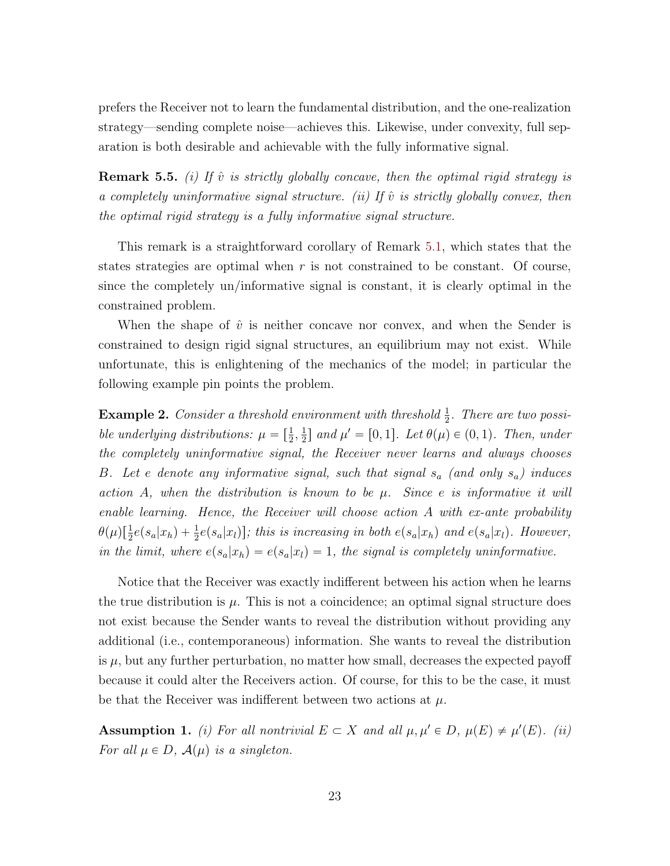prefers the Receiver not to learn the fundamental distribution, and the one-realization strategy—sending complete noise—achieves this. Likewise, under convexity, full separation is both desirable and achievable with the fully informative signal.

**Remark 5.5.** (i) If  $\hat{v}$  is strictly globally concave, then the optimal rigid strategy is a completely uninformative signal structure. (ii) If  $\hat{v}$  is strictly globally convex, then the optimal rigid strategy is a fully informative signal structure.

This remark is a straightforward corollary of Remark [5.1,](#page-19-0) which states that the states strategies are optimal when  $r$  is not constrained to be constant. Of course, since the completely un/informative signal is constant, it is clearly optimal in the constrained problem.

When the shape of  $\hat{v}$  is neither concave nor convex, and when the Sender is constrained to design rigid signal structures, an equilibrium may not exist. While unfortunate, this is enlightening of the mechanics of the model; in particular the following example pin points the problem.

<span id="page-23-1"></span>**Example 2.** Consider a threshold environment with threshold  $\frac{1}{2}$ . There are two possible underlying distributions:  $\mu = \left[\frac{1}{2}, \frac{1}{2}\right]$  $\frac{1}{2}$  and  $\mu' = [0, 1]$ . Let  $\theta(\mu) \in (0, 1)$ . Then, under the completely uninformative signal, the Receiver never learns and always chooses B. Let e denote any informative signal, such that signal  $s_a$  (and only  $s_a$ ) induces action A, when the distribution is known to be  $\mu$ . Since e is informative it will enable learning. Hence, the Receiver will choose action A with ex-ante probability  $\theta(\mu)[\frac{1}{2}e(s_a|x_h)+\frac{1}{2}e(s_a|x_l)]$ ; this is increasing in both  $e(s_a|x_h)$  and  $e(s_a|x_l)$ . However, in the limit, where  $e(s_a|x_h) = e(s_a|x_l) = 1$ , the signal is completely uninformative.

Notice that the Receiver was exactly indifferent between his action when he learns the true distribution is  $\mu$ . This is not a coincidence; an optimal signal structure does not exist because the Sender wants to reveal the distribution without providing any additional (i.e., contemporaneous) information. She wants to reveal the distribution is  $\mu$ , but any further perturbation, no matter how small, decreases the expected payoff because it could alter the Receivers action. Of course, for this to be the case, it must be that the Receiver was indifferent between two actions at  $\mu$ .

<span id="page-23-0"></span>Assumption 1. (i) For all nontrivial  $E \subset X$  and all  $\mu, \mu' \in D$ ,  $\mu(E) \neq \mu'(E)$ . (ii) For all  $\mu \in D$ ,  $\mathcal{A}(\mu)$  is a singleton.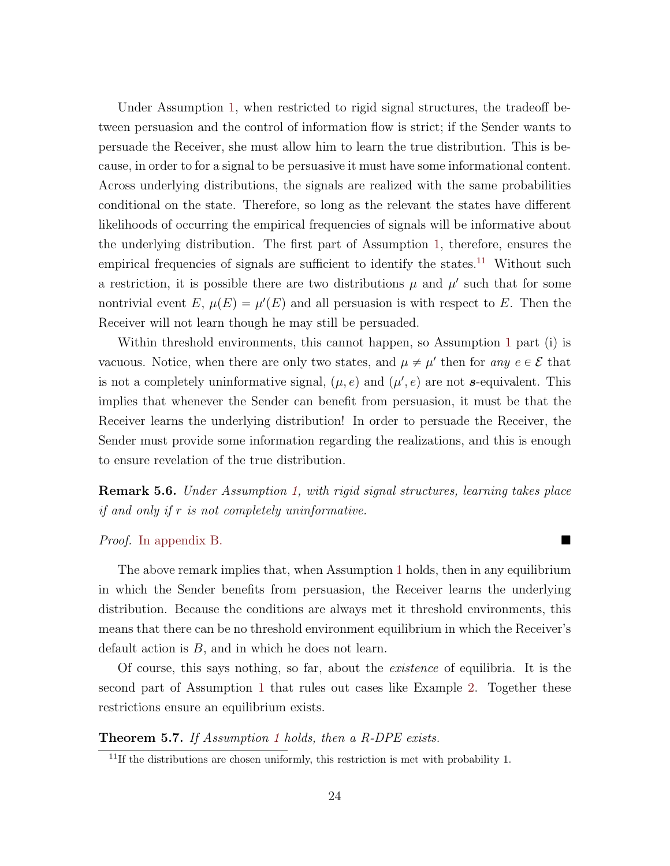Under Assumption [1,](#page-23-0) when restricted to rigid signal structures, the tradeoff between persuasion and the control of information flow is strict; if the Sender wants to persuade the Receiver, she must allow him to learn the true distribution. This is because, in order to for a signal to be persuasive it must have some informational content. Across underlying distributions, the signals are realized with the same probabilities conditional on the state. Therefore, so long as the relevant the states have different likelihoods of occurring the empirical frequencies of signals will be informative about the underlying distribution. The first part of Assumption [1,](#page-23-0) therefore, ensures the empirical frequencies of signals are sufficient to identify the states.<sup>[11](#page-24-0)</sup> Without such a restriction, it is possible there are two distributions  $\mu$  and  $\mu'$  such that for some nontrivial event E,  $\mu(E) = \mu'(E)$  and all persuasion is with respect to E. Then the Receiver will not learn though he may still be persuaded.

Within threshold environments, this cannot happen, so Assumption [1](#page-23-0) part (i) is vacuous. Notice, when there are only two states, and  $\mu \neq \mu'$  then for any  $e \in \mathcal{E}$  that is not a completely uninformative signal,  $(\mu, e)$  and  $(\mu', e)$  are not s-equivalent. This implies that whenever the Sender can benefit from persuasion, it must be that the Receiver learns the underlying distribution! In order to persuade the Receiver, the Sender must provide some information regarding the realizations, and this is enough to ensure revelation of the true distribution.

<span id="page-24-1"></span>Remark 5.6. Under Assumption [1,](#page-23-0) with rigid signal structures, learning takes place if and only if r is not completely uninformative.

### Proof. [In appendix](#page-32-1) [B.](#page-29-0)

The above remark implies that, when Assumption [1](#page-23-0) holds, then in any equilibrium in which the Sender benefits from persuasion, the Receiver learns the underlying distribution. Because the conditions are always met it threshold environments, this means that there can be no threshold environment equilibrium in which the Receiver's default action is  $B$ , and in which he does not learn.

Of course, this says nothing, so far, about the existence of equilibria. It is the second part of Assumption [1](#page-23-0) that rules out cases like Example [2.](#page-23-1) Together these restrictions ensure an equilibrium exists.

#### <span id="page-24-2"></span>Theorem 5.7. If Assumption [1](#page-23-0) holds, then a R-DPE exists.

<span id="page-24-0"></span> $11$ If the distributions are chosen uniformly, this restriction is met with probability 1.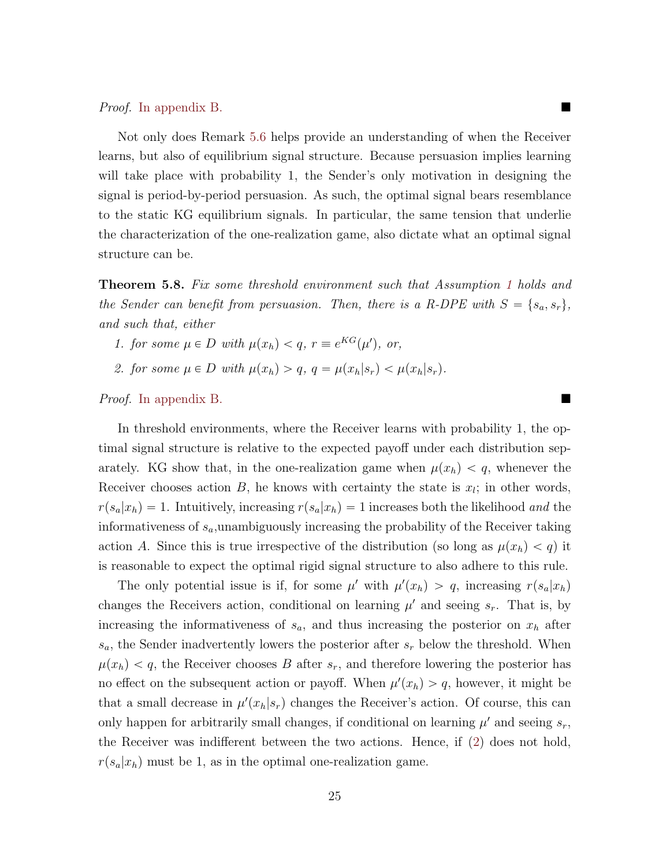Proof. [In appendix](#page-32-2) [B.](#page-29-0)

Not only does Remark [5.6](#page-24-1) helps provide an understanding of when the Receiver learns, but also of equilibrium signal structure. Because persuasion implies learning will take place with probability 1, the Sender's only motivation in designing the signal is period-by-period persuasion. As such, the optimal signal bears resemblance to the static KG equilibrium signals. In particular, the same tension that underlie the characterization of the one-realization game, also dictate what an optimal signal structure can be.

<span id="page-25-1"></span>**Theorem 5.8.** Fix some threshold environment such that Assumption [1](#page-23-0) holds and the Sender can benefit from persuasion. Then, there is a R-DPE with  $S = \{s_a, s_r\},\$ and such that, either

- <span id="page-25-2"></span>1. for some  $\mu \in D$  with  $\mu(x_h) < q$ ,  $r \equiv e^{KG}(\mu')$ , or,
- <span id="page-25-0"></span>2. for some  $\mu \in D$  with  $\mu(x_h) > q$ ,  $q = \mu(x_h|s_r) < \mu(x_h|s_r)$ .

Proof. [In appendix](#page-33-0) [B.](#page-29-0)

In threshold environments, where the Receiver learns with probability 1, the optimal signal structure is relative to the expected payoff under each distribution separately. KG show that, in the one-realization game when  $\mu(x_h) < q$ , whenever the Receiver chooses action  $B$ , he knows with certainty the state is  $x_i$ ; in other words,  $r(s_a|x_h) = 1$ . Intuitively, increasing  $r(s_a|x_h) = 1$  increases both the likelihood and the informativeness of  $s_a$ , unambiguously increasing the probability of the Receiver taking action A. Since this is true irrespective of the distribution (so long as  $\mu(x_h) < q$ ) it is reasonable to expect the optimal rigid signal structure to also adhere to this rule.

The only potential issue is if, for some  $\mu'$  with  $\mu'(x_h) > q$ , increasing  $r(s_a|x_h)$ changes the Receivers action, conditional on learning  $\mu'$  and seeing  $s_r$ . That is, by increasing the informativeness of  $s_a$ , and thus increasing the posterior on  $x_h$  after  $s_a$ , the Sender inadvertently lowers the posterior after  $s_r$  below the threshold. When  $\mu(x_h) < q$ , the Receiver chooses B after  $s_r$ , and therefore lowering the posterior has no effect on the subsequent action or payoff. When  $\mu'(x_h) > q$ , however, it might be that a small decrease in  $\mu'(x_h|s_r)$  changes the Receiver's action. Of course, this can only happen for arbitrarily small changes, if conditional on learning  $\mu'$  and seeing  $s_r$ , the Receiver was indifferent between the two actions. Hence, if [\(2\)](#page-25-0) does not hold,  $r(s_a|x_h)$  must be 1, as in the optimal one-realization game.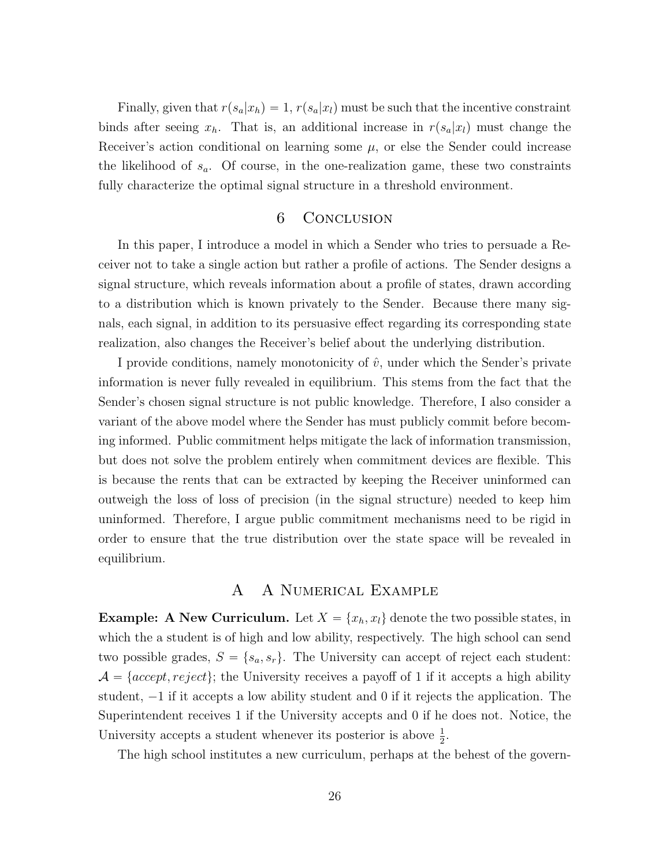Finally, given that  $r(s_a|x_h) = 1, r(s_a|x_l)$  must be such that the incentive constraint binds after seeing  $x_h$ . That is, an additional increase in  $r(s_a|x_l)$  must change the Receiver's action conditional on learning some  $\mu$ , or else the Sender could increase the likelihood of  $s_a$ . Of course, in the one-realization game, these two constraints fully characterize the optimal signal structure in a threshold environment.

# 6 Conclusion

In this paper, I introduce a model in which a Sender who tries to persuade a Receiver not to take a single action but rather a profile of actions. The Sender designs a signal structure, which reveals information about a profile of states, drawn according to a distribution which is known privately to the Sender. Because there many signals, each signal, in addition to its persuasive effect regarding its corresponding state realization, also changes the Receiver's belief about the underlying distribution.

I provide conditions, namely monotonicity of  $\hat{v}$ , under which the Sender's private information is never fully revealed in equilibrium. This stems from the fact that the Sender's chosen signal structure is not public knowledge. Therefore, I also consider a variant of the above model where the Sender has must publicly commit before becoming informed. Public commitment helps mitigate the lack of information transmission, but does not solve the problem entirely when commitment devices are flexible. This is because the rents that can be extracted by keeping the Receiver uninformed can outweigh the loss of loss of precision (in the signal structure) needed to keep him uninformed. Therefore, I argue public commitment mechanisms need to be rigid in order to ensure that the true distribution over the state space will be revealed in equilibrium.

# A A Numerical Example

<span id="page-26-0"></span>**Example:** A New Curriculum. Let  $X = \{x_h, x_l\}$  denote the two possible states, in which the a student is of high and low ability, respectively. The high school can send two possible grades,  $S = \{s_a, s_r\}$ . The University can accept of reject each student:  $\mathcal{A} = \{accept, reject\};$  the University receives a payoff of 1 if it accepts a high ability student,  $-1$  if it accepts a low ability student and 0 if it rejects the application. The Superintendent receives 1 if the University accepts and 0 if he does not. Notice, the University accepts a student whenever its posterior is above  $\frac{1}{2}$ .

The high school institutes a new curriculum, perhaps at the behest of the govern-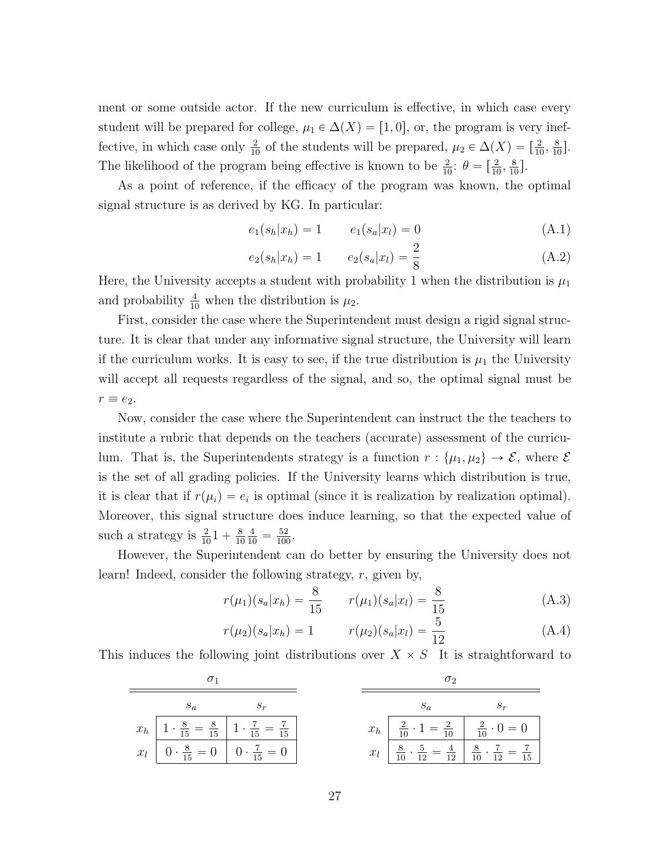ment or some outside actor. If the new curriculum is effective, in which case every student will be prepared for college,  $\mu_1 \in \Delta(X) = [1, 0]$ , or, the program is very ineffective, in which case only  $\frac{2}{10}$  of the students will be prepared,  $\mu_2 \in \Delta(X) = \left[\frac{2}{10}, \frac{8}{10}\right]$ . The likelihood of the program being effective is known to be  $\frac{2}{10}$ :  $\theta = \left[\frac{2}{10}, \frac{8}{10}\right]$ .

As a point of reference, if the efficacy of the program was known, the optimal signal structure is as derived by KG. In particular:

<span id="page-27-2"></span>
$$
e_1(s_h|x_h) = 1 \t e_1(s_a|x_l) = 0 \t (A.1)
$$

<span id="page-27-3"></span>
$$
e_2(s_h|x_h) = 1 \qquad e_2(s_a|x_l) = \frac{2}{8} \tag{A.2}
$$

Here, the University accepts a student with probability 1 when the distribution is  $\mu_1$ and probability  $\frac{4}{10}$  when the distribution is  $\mu_2$ .

First, consider the case where the Superintendent must design a rigid signal structure. It is clear that under any informative signal structure, the University will learn if the curriculum works. It is easy to see, if the true distribution is  $\mu_1$  the University will accept all requests regardless of the signal, and so, the optimal signal must be  $r \equiv e_2.$ 

Now, consider the case where the Superintendent can instruct the the teachers to institute a rubric that depends on the teachers (accurate) assessment of the curriculum. That is, the Superintendents strategy is a function  $r : \{\mu_1, \mu_2\} \to \mathcal{E}$ , where  $\mathcal{E}$ is the set of all grading policies. If the University learns which distribution is true, it is clear that if  $r(\mu_i) = e_i$  is optimal (since it is realization by realization optimal). Moreover, this signal structure does induce learning, so that the expected value of such a strategy is  $\frac{2}{10}1 + \frac{8}{10}$ 10  $\frac{4}{10} = \frac{52}{100}.$ 

However, the Superintendent can do better by ensuring the University does not learn! Indeed, consider the following strategy, r, given by,

<span id="page-27-0"></span>
$$
r(\mu_1)(s_a|x_h) = \frac{8}{15} \qquad r(\mu_1)(s_a|x_l) = \frac{8}{15} \tag{A.3}
$$

<span id="page-27-1"></span>
$$
r(\mu_2)(s_a|x_h) = 1 \qquad r(\mu_2)(s_a|x_l) = \frac{5}{12} \qquad (A.4)
$$

This induces the following joint distributions over  $X \times S$  It is straightforward to

|  |                                                             | $S_r$                                                                                             |  |                                                                                                                |                                                                                                                               |
|--|-------------------------------------------------------------|---------------------------------------------------------------------------------------------------|--|----------------------------------------------------------------------------------------------------------------|-------------------------------------------------------------------------------------------------------------------------------|
|  |                                                             | $x_h$ $\boxed{1 \cdot \frac{8}{15} = \frac{8}{15}}$ $\boxed{1 \cdot \frac{7}{15} = \frac{7}{15}}$ |  | $x_h$ $\begin{array}{ c c c c c } \hline 2 & 1 & = & \frac{2}{10} & \frac{2}{10} & 0 = 0 \ \hline \end{array}$ |                                                                                                                               |
|  | $x_l$ $0 \cdot \frac{8}{15} = 0$ $0 \cdot \frac{7}{15} = 0$ |                                                                                                   |  |                                                                                                                | $x_l$ $\overline{\frac{8}{10}} \cdot \frac{5}{12} = \frac{4}{12}$ $\overline{\frac{8}{10}} \cdot \frac{7}{12} = \frac{7}{15}$ |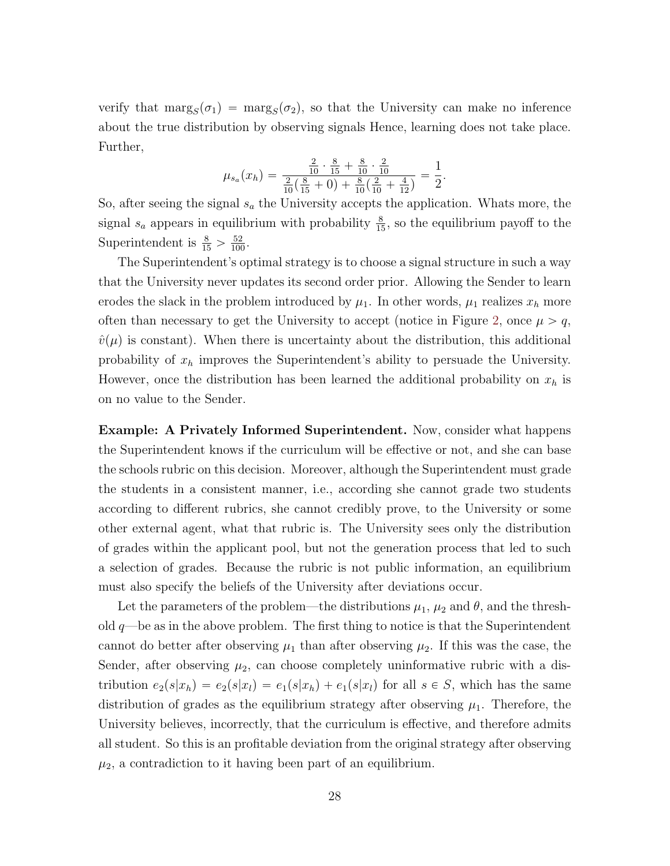verify that  $\text{marg}_S(\sigma_1) = \text{marg}_S(\sigma_2)$ , so that the University can make no inference about the true distribution by observing signals Hence, learning does not take place. Further,

$$
\mu_{s_a}(x_h) = \frac{\frac{2}{10} \cdot \frac{8}{15} + \frac{8}{10} \cdot \frac{2}{10}}{\frac{2}{10} (\frac{8}{15} + 0) + \frac{8}{10} (\frac{2}{10} + \frac{4}{12})} = \frac{1}{2}.
$$

So, after seeing the signal  $s_a$  the University accepts the application. Whats more, the signal  $s_a$  appears in equilibrium with probability  $\frac{8}{15}$ , so the equilibrium payoff to the Superintendent is  $\frac{8}{15} > \frac{52}{100}$ .

The Superintendent's optimal strategy is to choose a signal structure in such a way that the University never updates its second order prior. Allowing the Sender to learn erodes the slack in the problem introduced by  $\mu_1$ . In other words,  $\mu_1$  realizes  $x_h$  more often than necessary to get the University to accept (notice in Figure [2,](#page-11-1) once  $\mu > q$ ,  $\hat{v}(\mu)$  is constant). When there is uncertainty about the distribution, this additional probability of  $x_h$  improves the Superintendent's ability to persuade the University. However, once the distribution has been learned the additional probability on  $x_h$  is on no value to the Sender.

Example: A Privately Informed Superintendent. Now, consider what happens the Superintendent knows if the curriculum will be effective or not, and she can base the schools rubric on this decision. Moreover, although the Superintendent must grade the students in a consistent manner, i.e., according she cannot grade two students according to different rubrics, she cannot credibly prove, to the University or some other external agent, what that rubric is. The University sees only the distribution of grades within the applicant pool, but not the generation process that led to such a selection of grades. Because the rubric is not public information, an equilibrium must also specify the beliefs of the University after deviations occur.

Let the parameters of the problem—the distributions  $\mu_1$ ,  $\mu_2$  and  $\theta$ , and the threshold  $q$ —be as in the above problem. The first thing to notice is that the Superintendent cannot do better after observing  $\mu_1$  than after observing  $\mu_2$ . If this was the case, the Sender, after observing  $\mu_2$ , can choose completely uninformative rubric with a distribution  $e_2(s|x_h) = e_2(s|x_l) = e_1(s|x_h) + e_1(s|x_l)$  for all  $s \in S$ , which has the same distribution of grades as the equilibrium strategy after observing  $\mu_1$ . Therefore, the University believes, incorrectly, that the curriculum is effective, and therefore admits all student. So this is an profitable deviation from the original strategy after observing  $\mu_2$ , a contradiction to it having been part of an equilibrium.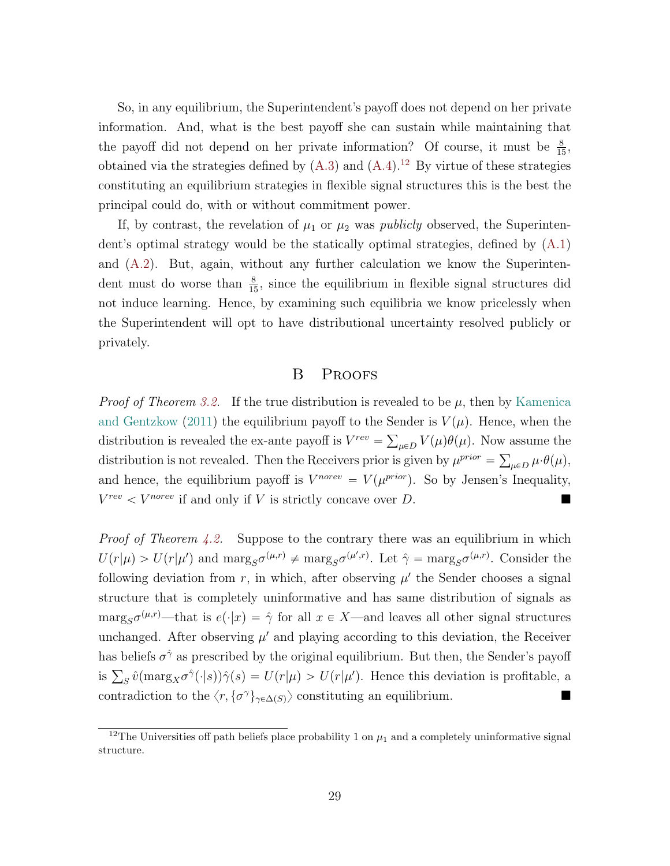So, in any equilibrium, the Superintendent's payoff does not depend on her private information. And, what is the best payoff she can sustain while maintaining that the payoff did not depend on her private information? Of course, it must be  $\frac{8}{15}$ , obtained via the strategies defined by  $(A.3)$  and  $(A.4).<sup>12</sup>$  $(A.4).<sup>12</sup>$  $(A.4).<sup>12</sup>$  $(A.4).<sup>12</sup>$  By virtue of these strategies constituting an equilibrium strategies in flexible signal structures this is the best the principal could do, with or without commitment power.

If, by contrast, the revelation of  $\mu_1$  or  $\mu_2$  was *publicly* observed, the Superintendent's optimal strategy would be the statically optimal strategies, defined by [\(A.1\)](#page-27-2) and [\(A.2\)](#page-27-3). But, again, without any further calculation we know the Superintendent must do worse than  $\frac{8}{15}$ , since the equilibrium in flexible signal structures did not induce learning. Hence, by examining such equilibria we know pricelessly when the Superintendent will opt to have distributional uncertainty resolved publicly or privately.

# <span id="page-29-1"></span>B Proofs

<span id="page-29-0"></span>*Proof of Theorem [3.2.](#page-10-0)* If the true distribution is revealed to be  $\mu$ , then by [Kamenica](#page-35-0) [and Gentzkow](#page-35-0) [\(2011\)](#page-35-0) the equilibrium payoff to the Sender is  $V(\mu)$ . Hence, when the distribution is revealed the ex-ante payoff is  $V^{rev} = \sum_{\mu \in D} V(\mu) \theta(\mu)$ . Now assume the distribution is not revealed. Then the Receivers prior is given by  $\mu^{prior} = \sum_{\mu \in D} \mu \cdot \theta(\mu)$ , and hence, the equilibrium payoff is  $V^{norev} = V(\mu^{prior})$ . So by Jensen's Inequality,  $V^{rev}$   $\lt V^{novev}$  if and only if V is strictly concave over D.

<span id="page-29-2"></span>*Proof of Theorem [4.2.](#page-14-0)* Suppose to the contrary there was an equilibrium in which  $U(r|\mu) > U(r|\mu')$  and  $\arg_S \sigma^{(\mu,r)} \neq \arg_S \sigma^{(\mu',r)}$ . Let  $\hat{\gamma} = \arg_S \sigma^{(\mu,r)}$ . Consider the following deviation from  $r$ , in which, after observing  $\mu'$  the Sender chooses a signal structure that is completely uninformative and has same distribution of signals as  $\arg_S \sigma^{(\mu,r)}$ —that is  $e(\cdot|x) = \hat{\gamma}$  for all  $x \in X$ —and leaves all other signal structures unchanged. After observing  $\mu'$  and playing according to this deviation, the Receiver has beliefs  $\sigma^{\hat{\gamma}}$  as prescribed by the original equilibrium. But then, the Sender's payoff is  $\sum_{S} \hat{v}(\text{marg}_X \sigma^{\hat{\gamma}}(\cdot | s))\hat{\gamma}(s) = U(r|\mu) > U(r|\mu')$ . Hence this deviation is profitable, a contradiction to the  $\langle r, {\{\sigma^{\gamma}\}}_{\gamma \in \Delta(S)} \rangle$  constituting an equilibrium.

<span id="page-29-3"></span><sup>&</sup>lt;sup>12</sup>The Universities off path beliefs place probability 1 on  $\mu_1$  and a completely uninformative signal structure.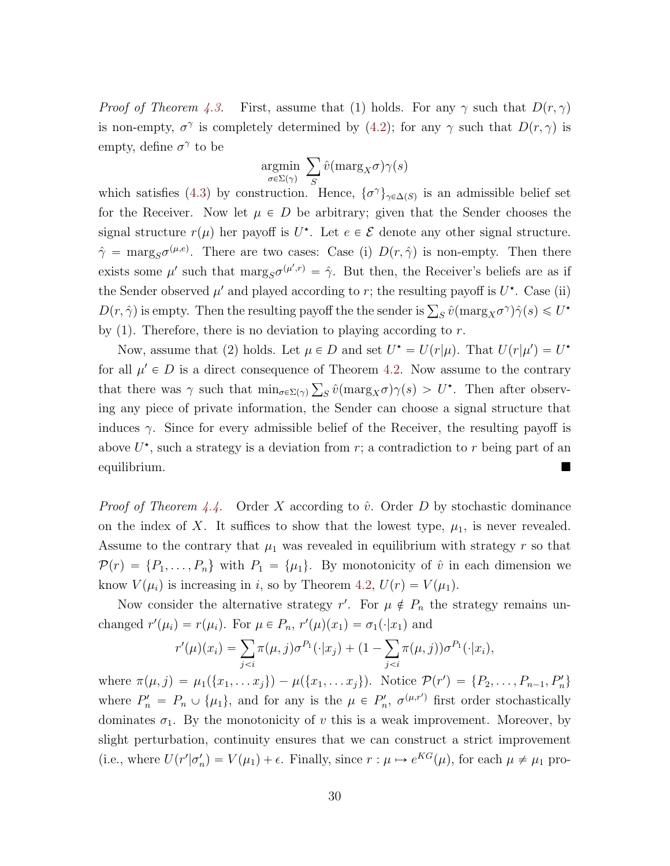*Proof of Theorem [4.3.](#page-15-0)* First, assume that (1) holds. For any  $\gamma$  such that  $D(r, \gamma)$ is non-empty,  $\sigma^{\gamma}$  is completely determined by [\(4.2\)](#page-13-1); for any  $\gamma$  such that  $D(r, \gamma)$  is empty, define  $\sigma^{\gamma}$  to be

<span id="page-30-0"></span>
$$
\underset{\sigma \in \Sigma(\gamma)}{\text{argmin}} \ \sum_S \hat{v}(\text{marg}_X \sigma) \gamma(s)
$$

which satisfies [\(4.3\)](#page-13-0) by construction. Hence,  $\{\sigma^{\gamma}\}_{\gamma \in \Delta(S)}$  is an admissible belief set for the Receiver. Now let  $\mu \in D$  be arbitrary; given that the Sender chooses the signal structure  $r(\mu)$  her payoff is  $U^*$ . Let  $e \in \mathcal{E}$  denote any other signal structure.  $\hat{\gamma} = \max_{S} \sigma^{(\mu,e)}$ . There are two cases: Case (i)  $D(r, \hat{\gamma})$  is non-empty. Then there exists some  $\mu'$  such that  $\text{marg}_S \sigma^{(\mu',r)} = \hat{\gamma}$ . But then, the Receiver's beliefs are as if the Sender observed  $\mu'$  and played according to r; the resulting payoff is  $U^*$ . Case (ii)  $D(r, \hat{\gamma})$  is empty. Then the resulting payoff the the sender is  $\sum_{S} \hat{v}(\text{marg}_X \sigma^{\gamma}) \hat{\gamma}(s) \leq U^{\star}$ by  $(1)$ . Therefore, there is no deviation to playing according to r.

Now, assume that (2) holds. Let  $\mu \in D$  and set  $U^* = U(r|\mu)$ . That  $U(r|\mu') = U^*$ for all  $\mu' \in D$  is a direct consequence of Theorem [4.2.](#page-14-0) Now assume to the contrary that there was  $\gamma$  such that  $\min_{\sigma \in \Sigma(\gamma)} \sum_S \hat{v}(\max_{X} \sigma) \gamma(s) > U^*$ . Then after observing any piece of private information, the Sender can choose a signal structure that induces  $\gamma$ . Since for every admissible belief of the Receiver, the resulting payoff is above  $U^*$ , such a strategy is a deviation from r; a contradiction to r being part of an equilibrium.

<span id="page-30-1"></span>*Proof of Theorem [4.4.](#page-15-1)* Order X according to  $\hat{v}$ . Order D by stochastic dominance on the index of X. It suffices to show that the lowest type,  $\mu_1$ , is never revealed. Assume to the contrary that  $\mu_1$  was revealed in equilibrium with strategy r so that  $\mathcal{P}(r) = \{P_1, \ldots, P_n\}$  with  $P_1 = \{\mu_1\}$ . By monotonicity of  $\hat{v}$  in each dimension we know  $V(\mu_i)$  is increasing in i, so by Theorem [4.2,](#page-14-0)  $U(r) = V(\mu_1)$ .

Now consider the alternative strategy r'. For  $\mu \notin P_n$  the strategy remains un-

changed 
$$
r'(\mu_i) = r(\mu_i)
$$
. For  $\mu \in P_n$ ,  $r'(\mu)(x_1) = \sigma_1(\cdot|x_1)$  and  
\n
$$
r'(\mu)(x_i) = \sum_{j
$$

where  $\pi(\mu, j) = \mu_1(\{x_1, \dots x_j\}) - \mu(\{x_1, \dots x_j\})$ . Notice  $\mathcal{P}(r') = \{P_2, \dots, P_{n-1}, P'_n\}$ where  $P'_n = P_n \cup \{\mu_1\}$ , and for any is the  $\mu \in P'_n$ ,  $\sigma^{(\mu,r')}$  first order stochastically dominates  $\sigma_1$ . By the monotonicity of v this is a weak improvement. Moreover, by slight perturbation, continuity ensures that we can construct a strict improvement (i.e., where  $U(r'|\sigma'_n) = V(\mu_1) + \epsilon$ . Finally, since  $r : \mu \mapsto e^{KG}(\mu)$ , for each  $\mu \neq \mu_1$  pro-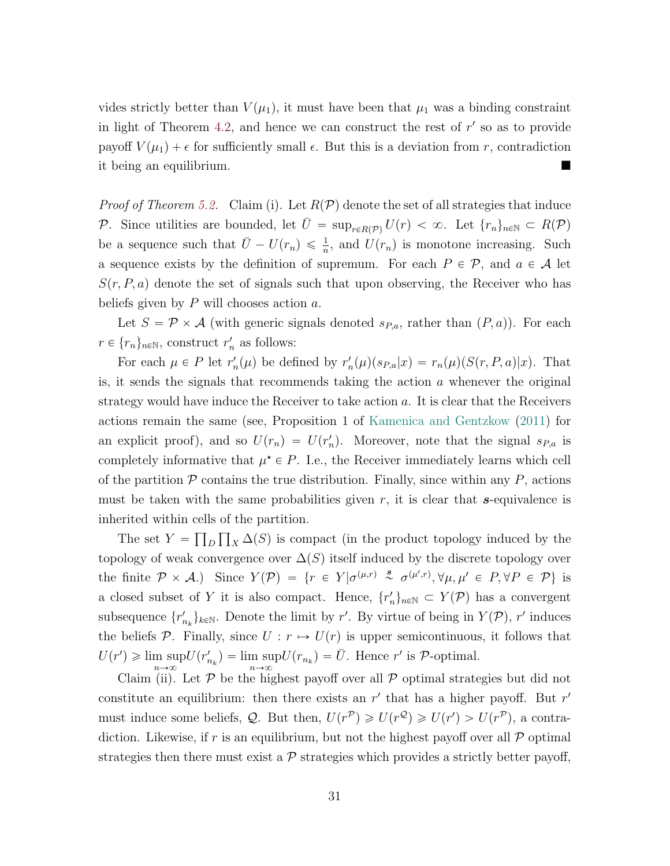vides strictly better than  $V(\mu_1)$ , it must have been that  $\mu_1$  was a binding constraint in light of Theorem [4.2,](#page-14-0) and hence we can construct the rest of  $r'$  so as to provide payoff  $V(\mu_1) + \epsilon$  for sufficiently small  $\epsilon$ . But this is a deviation from r, contradiction it being an equilibrium.

<span id="page-31-0"></span>*Proof of Theorem [5.2.](#page-20-0)* Claim (i). Let  $R(\mathcal{P})$  denote the set of all strategies that induce P. Since utilities are bounded, let  $\bar{U} = \sup_{r \in R(\mathcal{P})} U(r) < \infty$ . Let  $\{r_n\}_{n \in \mathbb{N}} \subset R(\mathcal{P})$ be a sequence such that  $\bar{U} - U(r_n) \leq \frac{1}{n}$ , and  $U(r_n)$  is monotone increasing. Such a sequence exists by the definition of supremum. For each  $P \in \mathcal{P}$ , and  $a \in \mathcal{A}$  let  $S(r, P, a)$  denote the set of signals such that upon observing, the Receiver who has beliefs given by  $P$  will chooses action  $a$ .

Let  $S = \mathcal{P} \times \mathcal{A}$  (with generic signals denoted  $s_{P,a}$ , rather than  $(P, a)$ ). For each  $r \in \{r_n\}_{n \in \mathbb{N}}$ , construct  $r'_n$  as follows:

For each  $\mu \in P$  let  $r'_n(\mu)$  be defined by  $r'_n(\mu)(s_{P,a}|x) = r_n(\mu)(S(r, P, a)|x)$ . That is, it sends the signals that recommends taking the action  $a$  whenever the original strategy would have induce the Receiver to take action a. It is clear that the Receivers actions remain the same (see, Proposition 1 of [Kamenica and Gentzkow](#page-35-0) [\(2011\)](#page-35-0) for an explicit proof), and so  $U(r_n) = U(r'_n)$ . Moreover, note that the signal  $s_{P,a}$  is completely informative that  $\mu^* \in P$ . I.e., the Receiver immediately learns which cell of the partition  $P$  contains the true distribution. Finally, since within any  $P$ , actions must be taken with the same probabilities given  $r$ , it is clear that s-equivalence is inherited within cells of the partition.

The set  $Y = \prod_D \prod_X \Delta(S)$  is compact (in the product topology induced by the topology of weak convergence over  $\Delta(S)$  itself induced by the discrete topology over the finite  $\mathcal{P} \times \mathcal{A}$ .) Since  $Y(\mathcal{P}) = \{r \in Y | \sigma^{(\mu,r)} \stackrel{s}{\sim} \sigma^{(\mu',r)}, \forall \mu, \mu' \in P, \forall P \in \mathcal{P}\}\$ is a closed subset of Y it is also compact. Hence,  $\{r'_n\}_{n\in\mathbb{N}} \subset Y(\mathcal{P})$  has a convergent subsequence  $\{r'_{n_k}\}_{k\in\mathbb{N}}$ . Denote the limit by r'. By virtue of being in  $Y(\mathcal{P})$ , r' induces the beliefs P. Finally, since  $U : r \mapsto U(r)$  is upper semicontinuous, it follows that  $U(r') \geqslant \limsup$  $n\rightarrow\infty$  $U(r'_{n_k}) = \limsup$  $\limsup_{n\to\infty} U(r_{n_k}) = \bar{U}$ . Hence r' is P-optimal.

Claim (ii). Let  $P$  be the highest payoff over all  $P$  optimal strategies but did not constitute an equilibrium: then there exists an  $r'$  that has a higher payoff. But  $r'$ must induce some beliefs, Q. But then,  $U(r^{\mathcal{P}}) \geq U(r^{\mathcal{Q}}) \geq U(r') > U(r^{\mathcal{P}})$ , a contradiction. Likewise, if r is an equilibrium, but not the highest payoff over all  $\mathcal P$  optimal strategies then there must exist a  $\mathcal P$  strategies which provides a strictly better payoff,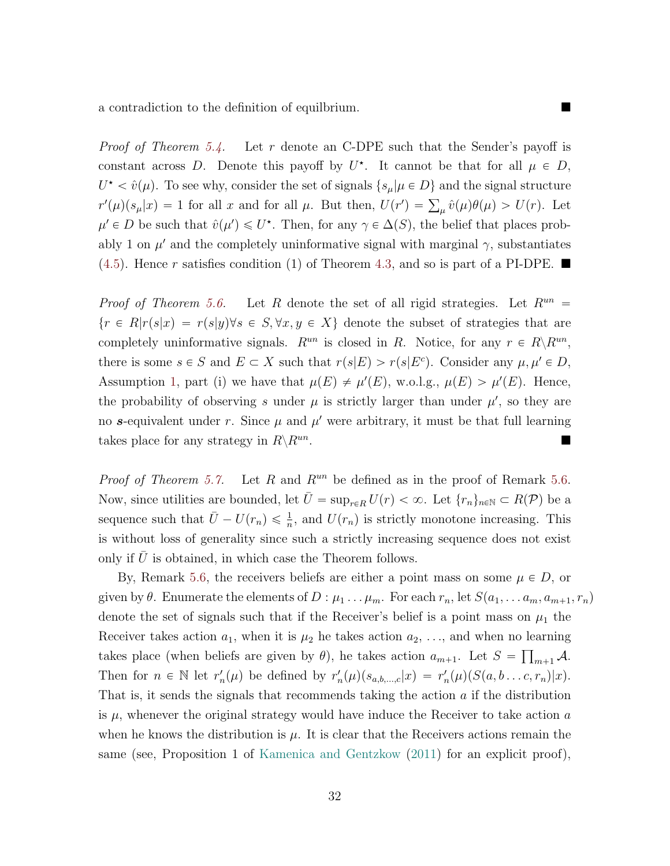a contradiction to the definition of equilbrium.

<span id="page-32-0"></span>*Proof of Theorem [5.4.](#page-22-0)* Let r denote an C-DPE such that the Sender's payoff is constant across D. Denote this payoff by  $U^*$ . It cannot be that for all  $\mu \in D$ ,  $U^* < \hat{v}(\mu)$ . To see why, consider the set of signals  $\{s_\mu | \mu \in D\}$  and the signal structure  $r'(\mu)(s_{\mu}|x) = 1$  for all x and for all  $\mu$ . But then,  $U(r') = \sum_{\mu} \hat{v}(\mu)\theta(\mu) > U(r)$ . Let  $\mu' \in D$  be such that  $\hat{v}(\mu') \leq U^*$ . Then, for any  $\gamma \in \Delta(S)$ , the belief that places probably 1 on  $\mu'$  and the completely uninformative signal with marginal  $\gamma$ , substantiates  $(4.5)$ . Hence r satisfies condition (1) of Theorem [4.3,](#page-15-0) and so is part of a PI-DPE.

<span id="page-32-1"></span>*Proof of Theorem [5.6.](#page-24-1)* Let R denote the set of all rigid strategies. Let  $R^{un}$  =  $\{r \in R | r(s|x) = r(s|y) \forall s \in S, \forall x, y \in X\}$  denote the subset of strategies that are completely uninformative signals.  $R^{un}$  is closed in R. Notice, for any  $r \in R \setminus R^{un}$ , there is some  $s \in S$  and  $E \subset X$  such that  $r(s|E) > r(s|E^c)$ . Consider any  $\mu, \mu' \in D$ , Assumption [1,](#page-23-0) part (i) we have that  $\mu(E) \neq \mu'(E)$ , w.o.l.g.,  $\mu(E) > \mu'(E)$ . Hence, the probability of observing s under  $\mu$  is strictly larger than under  $\mu'$ , so they are no s-equivalent under r. Since  $\mu$  and  $\mu'$  were arbitrary, it must be that full learning takes place for any strategy in  $R\backslash R^{un}$ . .

<span id="page-32-2"></span>*Proof of Theorem [5.7.](#page-24-2)* Let R and  $R^{un}$  be defined as in the proof of Remark [5.6.](#page-24-1) Now, since utilities are bounded, let  $\bar{U} = \sup_{r \in R} U(r) < \infty$ . Let  $\{r_n\}_{n \in \mathbb{N}} \subset R(\mathcal{P})$  be a sequence such that  $\bar{U} - U(r_n) \leq \frac{1}{n}$ , and  $U(r_n)$  is strictly monotone increasing. This is without loss of generality since such a strictly increasing sequence does not exist only if  $U$  is obtained, in which case the Theorem follows.

By, Remark [5.6,](#page-24-1) the receivers beliefs are either a point mass on some  $\mu \in D$ , or given by  $\theta$ . Enumerate the elements of  $D : \mu_1 \ldots \mu_m$ . For each  $r_n$ , let  $S(a_1, \ldots a_m, a_{m+1}, r_n)$ denote the set of signals such that if the Receiver's belief is a point mass on  $\mu_1$  the Receiver takes action  $a_1$ , when it is  $\mu_2$  he takes action  $a_2, \ldots$ , and when no learning takes place (when beliefs are given by  $\theta$ ), he takes action  $a_{m+1}$ . Let  $S = \prod_{m+1} A$ . Then for  $n \in \mathbb{N}$  let  $r'_n(\mu)$  be defined by  $r'_n(\mu)(s_{a,b,\dots,c}|x) = r'_n(\mu)(S(a,b\dots c,r_n)|x)$ . That is, it sends the signals that recommends taking the action a if the distribution is  $\mu$ , whenever the original strategy would have induce the Receiver to take action  $a$ when he knows the distribution is  $\mu$ . It is clear that the Receivers actions remain the same (see, Proposition 1 of [Kamenica and Gentzkow](#page-35-0) [\(2011\)](#page-35-0) for an explicit proof),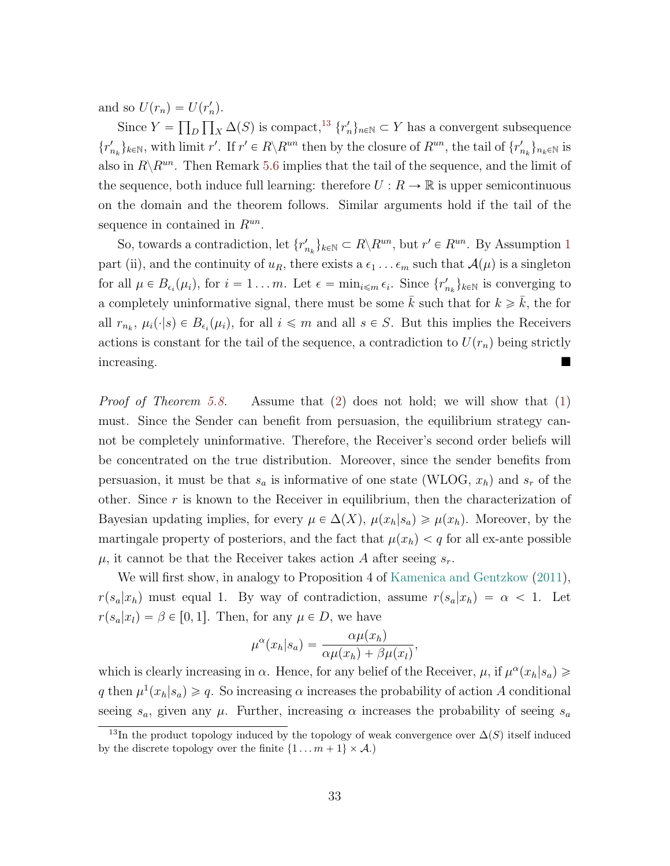and so  $U(r_n) = U(r'_n)$ .

Since  $Y = \prod_D \prod_X \Delta(S)$  is compact,<sup>[13](#page-33-1)</sup>  $\{r'_n\}_{n \in \mathbb{N}} \subset Y$  has a convergent subsequence  $\{r'_{n_k}\}_{k\in\mathbb{N}}$ , with limit  $r'$ . If  $r' \in R\backslash R^{un}$  then by the closure of  $R^{un}$ , the tail of  $\{r'_{n_k}\}_{n_k\in\mathbb{N}}$  is also in  $R\backslash R^{un}$ . Then Remark [5.6](#page-24-1) implies that the tail of the sequence, and the limit of the sequence, both induce full learning: therefore  $U: R \to \mathbb{R}$  is upper semicontinuous on the domain and the theorem follows. Similar arguments hold if the tail of the sequence in contained in  $R^{un}$ .

So, towards a contradiction, let  $\{r'_{n_k}\}_{k \in \mathbb{N}} \subset R \setminus R^{un}$ , but  $r' \in R^{un}$ . By Assumption [1](#page-23-0) part (ii), and the continuity of  $u_R$ , there exists a  $\epsilon_1 \ldots \epsilon_m$  such that  $\mathcal{A}(\mu)$  is a singleton for all  $\mu \in B_{\epsilon_i}(\mu_i)$ , for  $i = 1 ... m$ . Let  $\epsilon = \min_{i \leq m} \epsilon_i$ . Since  $\{r'_{n_k}\}_{k \in \mathbb{N}}$  is converging to a completely uninformative signal, there must be some  $\bar{k}$  such that for  $k \geq \bar{k}$ , the for all  $r_{n_k}$ ,  $\mu_i(\cdot|s) \in B_{\epsilon_i}(\mu_i)$ , for all  $i \leq m$  and all  $s \in S$ . But this implies the Receivers actions is constant for the tail of the sequence, a contradiction to  $U(r_n)$  being strictly increasing.

<span id="page-33-0"></span>*Proof of Theorem [5.8.](#page-25-1)* Assume that [\(2\)](#page-25-0) does not hold; we will show that [\(1\)](#page-25-2) must. Since the Sender can benefit from persuasion, the equilibrium strategy cannot be completely uninformative. Therefore, the Receiver's second order beliefs will be concentrated on the true distribution. Moreover, since the sender benefits from persuasion, it must be that  $s_a$  is informative of one state (WLOG,  $x_h$ ) and  $s_r$  of the other. Since  $r$  is known to the Receiver in equilibrium, then the characterization of Bayesian updating implies, for every  $\mu \in \Delta(X)$ ,  $\mu(x_h|s_a) \geq \mu(x_h)$ . Moreover, by the martingale property of posteriors, and the fact that  $\mu(x_h) < q$  for all ex-ante possible  $\mu$ , it cannot be that the Receiver takes action A after seeing  $s_r$ .

We will first show, in analogy to Proposition 4 of [Kamenica and Gentzkow](#page-35-0)  $(2011)$ ,  $r(s_a|x_h)$  must equal 1. By way of contradiction, assume  $r(s_a|x_h) = \alpha < 1$ . Let  $r(s_a|x_l) = \beta \in [0, 1]$ . Then, for any  $\mu \in D$ , we have

$$
\mu^{\alpha}(x_h|s_a) = \frac{\alpha \mu(x_h)}{\alpha \mu(x_h) + \beta \mu(x_l)},
$$

which is clearly increasing in  $\alpha$ . Hence, for any belief of the Receiver,  $\mu$ , if  $\mu^{\alpha}(x_h|s_a) \geq$ q then  $\mu^1(x_h|s_a) \geqslant q$ . So increasing  $\alpha$  increases the probability of action A conditional seeing  $s_a$ , given any  $\mu$ . Further, increasing  $\alpha$  increases the probability of seeing  $s_a$ 

<span id="page-33-1"></span><sup>&</sup>lt;sup>13</sup>In the product topology induced by the topology of weak convergence over  $\Delta(S)$  itself induced by the discrete topology over the finite  $\{1 \dots m + 1\} \times A$ .)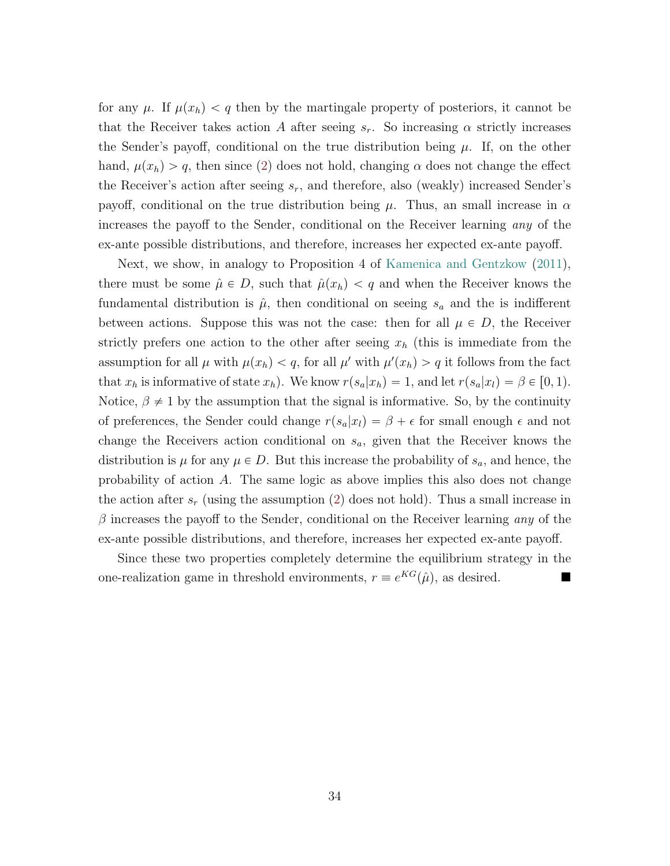for any  $\mu$ . If  $\mu(x_h) < q$  then by the martingale property of posteriors, it cannot be that the Receiver takes action A after seeing  $s_r$ . So increasing  $\alpha$  strictly increases the Sender's payoff, conditional on the true distribution being  $\mu$ . If, on the other hand,  $\mu(x_h) > q$ , then since [\(2\)](#page-25-0) does not hold, changing  $\alpha$  does not change the effect the Receiver's action after seeing  $s_r$ , and therefore, also (weakly) increased Sender's payoff, conditional on the true distribution being  $\mu$ . Thus, an small increase in  $\alpha$ increases the payoff to the Sender, conditional on the Receiver learning any of the ex-ante possible distributions, and therefore, increases her expected ex-ante payoff.

Next, we show, in analogy to Proposition 4 of [Kamenica and Gentzkow](#page-35-0) [\(2011\)](#page-35-0), there must be some  $\hat{\mu} \in D$ , such that  $\hat{\mu}(x_h) < q$  and when the Receiver knows the fundamental distribution is  $\hat{\mu}$ , then conditional on seeing  $s_a$  and the is indifferent between actions. Suppose this was not the case: then for all  $\mu \in D$ , the Receiver strictly prefers one action to the other after seeing  $x<sub>h</sub>$  (this is immediate from the assumption for all  $\mu$  with  $\mu(x_h) < q$ , for all  $\mu'$  with  $\mu'(x_h) > q$  it follows from the fact that  $x_h$  is informative of state  $x_h$ ). We know  $r(s_a|x_h) = 1$ , and let  $r(s_a|x_l) = \beta \in [0, 1)$ . Notice,  $\beta \neq 1$  by the assumption that the signal is informative. So, by the continuity of preferences, the Sender could change  $r(s_a|x_l) = \beta + \epsilon$  for small enough  $\epsilon$  and not change the Receivers action conditional on  $s_a$ , given that the Receiver knows the distribution is  $\mu$  for any  $\mu \in D$ . But this increase the probability of  $s_a$ , and hence, the probability of action A. The same logic as above implies this also does not change the action after  $s_r$  (using the assumption [\(2\)](#page-25-0) does not hold). Thus a small increase in  $\beta$  increases the payoff to the Sender, conditional on the Receiver learning any of the ex-ante possible distributions, and therefore, increases her expected ex-ante payoff.

Since these two properties completely determine the equilibrium strategy in the one-realization game in threshold environments,  $r \equiv e^{KG}(\hat{\mu})$ , as desired.